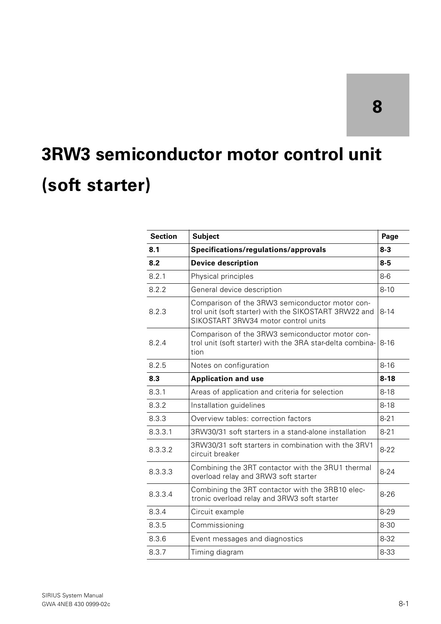# **8**

# **3RW3 semiconductor motor control unit (soft starter)**

| <b>Section</b> | <b>Subject</b>                                                                                                                                  | Page     |
|----------------|-------------------------------------------------------------------------------------------------------------------------------------------------|----------|
| 8.1            | Specifications/regulations/approvals                                                                                                            | $8 - 3$  |
| 8.2            | <b>Device description</b>                                                                                                                       | $8-5$    |
| 8.2.1          | Physical principles                                                                                                                             | $8-6$    |
| 8.2.2          | General device description                                                                                                                      | $8 - 10$ |
| 8.2.3          | Comparison of the 3RW3 semiconductor motor con-<br>trol unit (soft starter) with the SIKOSTART 3RW22 and<br>SIKOSTART 3RW34 motor control units | $8 - 14$ |
| 8.2.4          | Comparison of the 3RW3 semiconductor motor con-<br>trol unit (soft starter) with the 3RA star-delta combina-<br>tion                            | $8 - 16$ |
| 8.2.5          | Notes on configuration                                                                                                                          | $8 - 16$ |
| 8.3            | <b>Application and use</b>                                                                                                                      | $8 - 18$ |
| 8.3.1          | Areas of application and criteria for selection                                                                                                 | $8 - 18$ |
| 8.3.2          | Installation guidelines                                                                                                                         | $8 - 18$ |
| 8.3.3          | Overview tables: correction factors                                                                                                             | $8 - 21$ |
| 8.3.3.1        | 3RW30/31 soft starters in a stand-alone installation                                                                                            | $8 - 21$ |
| 8.3.3.2        | 3RW30/31 soft starters in combination with the 3RV1<br>circuit breaker                                                                          | $8 - 22$ |
| 8.3.3.3        | Combining the 3RT contactor with the 3RU1 thermal<br>overload relay and 3RW3 soft starter                                                       | $8 - 24$ |
| 8.3.3.4        | Combining the 3RT contactor with the 3RB10 elec-<br>tronic overload relay and 3RW3 soft starter                                                 | $8 - 26$ |
| 8.3.4          | Circuit example                                                                                                                                 | $8 - 29$ |
| 8.3.5          | Commissioning                                                                                                                                   | 8-30     |
| 8.3.6          | Event messages and diagnostics                                                                                                                  | $8 - 32$ |
| 8.3.7          | Timing diagram                                                                                                                                  | 8-33     |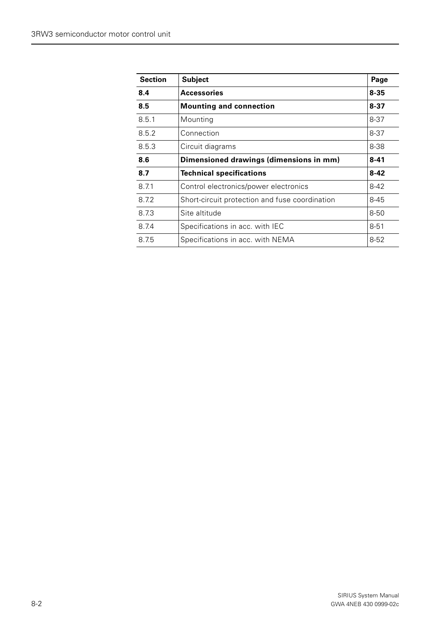| <b>Section</b> | <b>Subject</b>                                 | Page     |
|----------------|------------------------------------------------|----------|
| 8.4            | Accessories                                    | $8 - 35$ |
| 8.5            | <b>Mounting and connection</b>                 | $8 - 37$ |
| 8.5.1          | Mounting                                       | $8 - 37$ |
| 8.5.2          | Connection                                     | $8 - 37$ |
| 8.5.3          | Circuit diagrams                               | 8-38     |
| 8.6            | Dimensioned drawings (dimensions in mm)        | $8 - 41$ |
| 8.7            | <b>Technical specifications</b>                | $8 - 42$ |
| 8.7.1          | Control electronics/power electronics          | $8 - 42$ |
| 8.72           | Short-circuit protection and fuse coordination | $8 - 45$ |
| 8.73           | Site altitude                                  | $8 - 50$ |
| 8.7.4          | Specifications in acc. with IEC                | $8 - 51$ |
| 8.7.5          | Specifications in acc. with NEMA               | $8 - 52$ |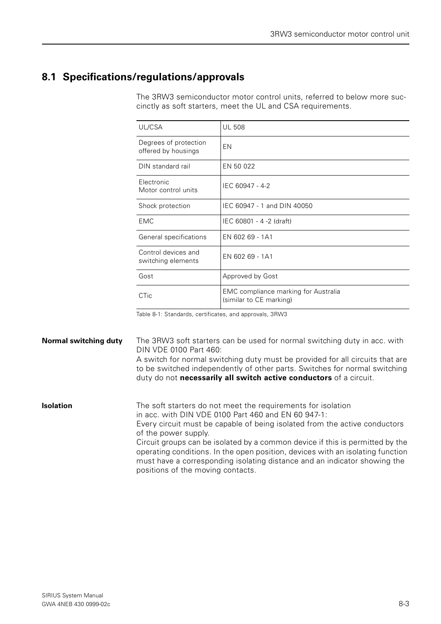# <span id="page-2-0"></span>**8.1 Specifications/regulations/approvals**

The 3RW3 semiconductor motor control units, referred to below more succinctly as soft starters, meet the UL and CSA requirements.

| UL/CSA                                       | <b>UL 508</b>                                                   |
|----------------------------------------------|-----------------------------------------------------------------|
| Degrees of protection<br>offered by housings | EN                                                              |
| DIN standard rail                            | EN 50 022                                                       |
| Electronic<br>Motor control units            | IEC 60947 - 4-2                                                 |
| Shock protection                             | IEC 60947 - 1 and DIN 40050                                     |
| <b>EMC</b>                                   | IEC 60801 - 4 -2 (draft)                                        |
| General specifications                       | EN 602 69 - 1A1                                                 |
| Control devices and<br>switching elements    | EN 602 69 - 1A1                                                 |
| Gost                                         | Approved by Gost                                                |
| <b>CTic</b>                                  | EMC compliance marking for Australia<br>(similar to CE marking) |

Table 8-1: Standards, certificates, and approvals, 3RW3

**Normal switching duty** The 3RW3 soft starters can be used for normal switching duty in acc. with DIN VDE 0100 Part 460: A switch for normal switching duty must be provided for all circuits that are to be switched independently of other parts. Switches for normal switching duty do not **necessarily all switch active conductors** of a circuit. **Isolation** The soft starters do not meet the requirements for isolation in acc. with DIN VDE 0100 Part 460 and EN 60 947-1: Every circuit must be capable of being isolated from the active conductors of the power supply.

Circuit groups can be isolated by a common device if this is permitted by the operating conditions. In the open position, devices with an isolating function must have a corresponding isolating distance and an indicator showing the positions of the moving contacts.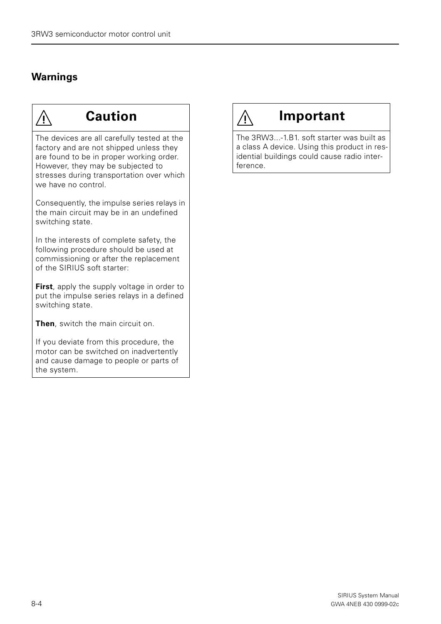# **Warnings**



# **Caution**

The devices are all carefully tested at the factory and are not shipped unless they are found to be in proper working order. However, they may be subjected to stresses during transportation over which we have no control.

Consequently, the impulse series relays in the main circuit may be in an undefined switching state.

In the interests of complete safety, the following procedure should be used at commissioning or after the replacement of the SIRIUS soft starter:

**First**, apply the supply voltage in order to put the impulse series relays in a defined switching state.

**Then**, switch the main circuit on.

If you deviate from this procedure, the motor can be switched on inadvertently and cause damage to people or parts of the system.

# **Important**

 $\bigwedge$ 

The 3RW3...-1.B1. soft starter was built as a class A device. Using this product in residential buildings could cause radio interference.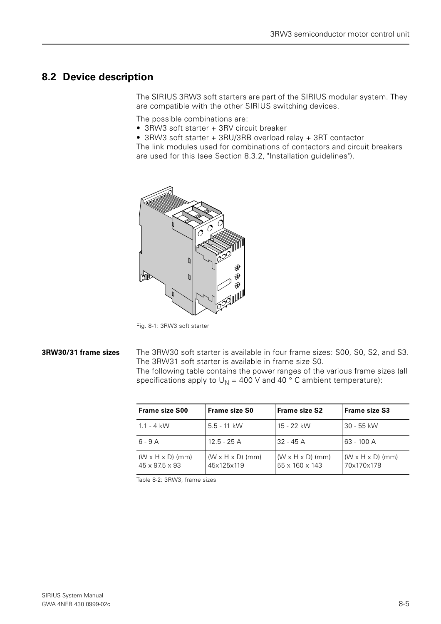# <span id="page-4-0"></span>**8.2 Device description**

The SIRIUS 3RW3 soft starters are part of the SIRIUS modular system. They are compatible with the other SIRIUS switching devices.

The possible combinations are:

- 3RW3 soft starter + 3RV circuit breaker
- 3RW3 soft starter + 3RU/3RB overload relay + 3RT contactor

The link modules used for combinations of contactors and circuit breakers are used for this (see Section 8.3.2, "Installation guidelines").



Fig. 8-1: 3RW3 soft starter

**3RW30/31 frame sizes** The 3RW30 soft starter is available in four frame sizes: S00, S0, S2, and S3. The 3RW31 soft starter is available in frame size S0.

The following table contains the power ranges of the various frame sizes (all specifications apply to  $U_N = 400$  V and 40 ° C ambient temperature):

| <b>Frame size S00</b>                                      | <b>Frame size S0</b>                       | <b>Frame size S2</b>                           | <b>Frame size S3</b>                       |
|------------------------------------------------------------|--------------------------------------------|------------------------------------------------|--------------------------------------------|
| $1.1 - 4$ kW                                               | $5.5 - 11$ kW                              | 15 - 22 kW                                     | 30 - 55 kW                                 |
| 6 - 9 A                                                    | 12.5 - 25 A                                | $32 - 45$ A                                    | 63 - 100 A                                 |
| $(W \times H \times D)$ (mm)<br>$45 \times 97.5 \times 93$ | $(W \times H \times D)$ (mm)<br>45x125x119 | $(W \times H \times D)$ (mm)<br>55 x 160 x 143 | $(W \times H \times D)$ (mm)<br>70x170x178 |

Table 8-2: 3RW3, frame sizes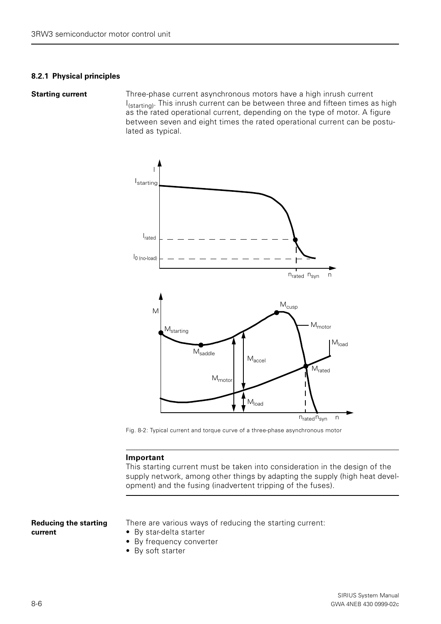#### <span id="page-5-0"></span>**8.2.1 Physical principles**

**Starting current** Three-phase current asynchronous motors have a high inrush current I<sub>(starting)</sub>. This inrush current can be between three and fifteen times as high as the rated operational current, depending on the type of motor. A figure between seven and eight times the rated operational current can be postulated as typical.



Fig. 8-2: Typical current and torque curve of a three-phase asynchronous motor

#### **Important**

This starting current must be taken into consideration in the design of the supply network, among other things by adapting the supply (high heat development) and the fusing (inadvertent tripping of the fuses).

#### **Reducing the starting current**

There are various ways of reducing the starting current:

- By star-delta starter
- By frequency converter
- By soft starter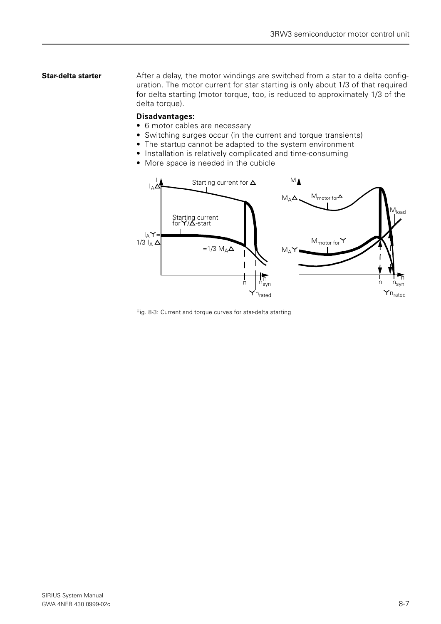**Star-delta starter** After a delay, the motor windings are switched from a star to a delta configuration. The motor current for star starting is only about 1/3 of that required for delta starting (motor torque, too, is reduced to approximately 1/3 of the delta torque).

#### **Disadvantages:**

- 6 motor cables are necessary
- Switching surges occur (in the current and torque transients)
- The startup cannot be adapted to the system environment
- Installation is relatively complicated and time-consuming
- More space is needed in the cubicle



Fig. 8-3: Current and torque curves for star-delta starting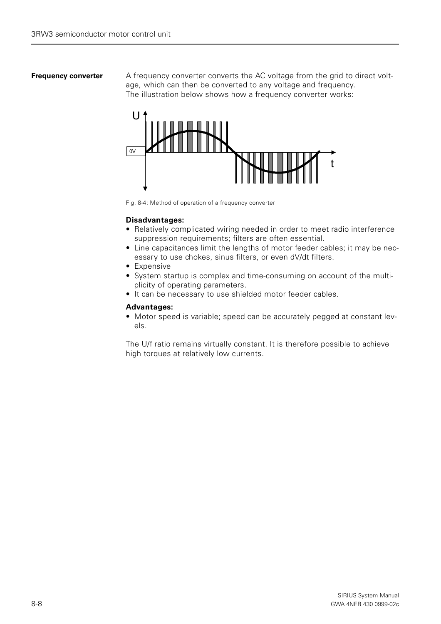**Frequency converter** A frequency converter converts the AC voltage from the grid to direct voltage, which can then be converted to any voltage and frequency. The illustration below shows how a frequency converter works:



Fig. 8-4: Method of operation of a frequency converter

#### **Disadvantages:**

- Relatively complicated wiring needed in order to meet radio interference suppression requirements; filters are often essential.
- Line capacitances limit the lengths of motor feeder cables; it may be necessary to use chokes, sinus filters, or even dV/dt filters.
- Expensive
- System startup is complex and time-consuming on account of the multiplicity of operating parameters.
- It can be necessary to use shielded motor feeder cables.

#### **Advantages:**

• Motor speed is variable; speed can be accurately pegged at constant levels.

The U/f ratio remains virtually constant. It is therefore possible to achieve high torques at relatively low currents.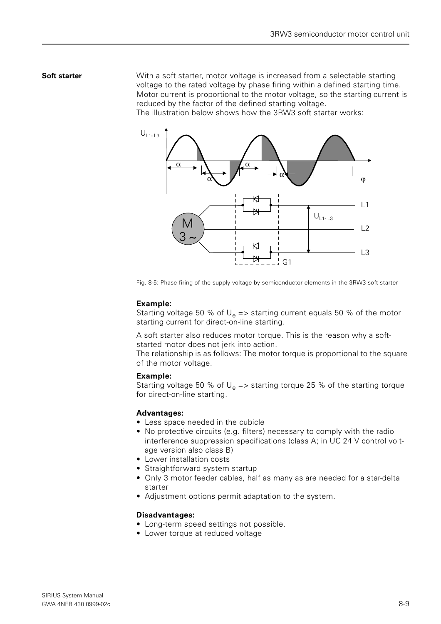### **Soft starter** With a soft starter, motor voltage is increased from a selectable starting voltage to the rated voltage by phase firing within a defined starting time. Motor current is proportional to the motor voltage, so the starting current is reduced by the factor of the defined starting voltage.

The illustration below shows how the 3RW3 soft starter works:



Fig. 8-5: Phase firing of the supply voltage by semiconductor elements in the 3RW3 soft starter

#### **Example:**

Starting voltage 50 % of  $U_e$  => starting current equals 50 % of the motor starting current for direct-on-line starting.

A soft starter also reduces motor torque. This is the reason why a softstarted motor does not jerk into action.

The relationship is as follows: The motor torque is proportional to the square of the motor voltage.

#### **Example:**

Starting voltage 50 % of  $U_e$  => starting torque 25 % of the starting torque for direct-on-line starting.

#### **Advantages:**

- Less space needed in the cubicle
- No protective circuits (e.g. filters) necessary to comply with the radio interference suppression specifications (class A; in UC 24 V control voltage version also class B)
- Lower installation costs
- Straightforward system startup
- Only 3 motor feeder cables, half as many as are needed for a star-delta starter
- Adjustment options permit adaptation to the system.

#### **Disadvantages:**

- Long-term speed settings not possible.
- Lower torque at reduced voltage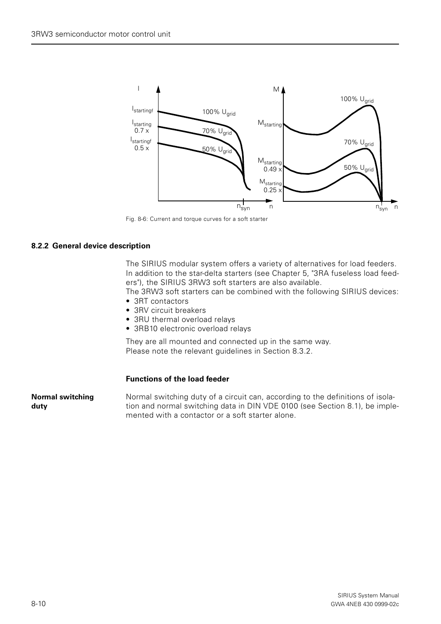

Fig. 8-6: Current and torque curves for a soft starter

#### <span id="page-9-0"></span>**8.2.2 General device description**

The SIRIUS modular system offers a variety of alternatives for load feeders. In addition to the star-delta starters (see Chapter 5, "3RA fuseless load feeders"), the SIRIUS 3RW3 soft starters are also available.

The 3RW3 soft starters can be combined with the following SIRIUS devices:

- 3RT contactors
- 3RV circuit breakers
- 3RU thermal overload relays
- 3RB10 electronic overload relays

They are all mounted and connected up in the same way. Please note the relevant guidelines in Section 8.3.2.

#### **Functions of the load feeder**

**Normal switching duty** Normal switching duty of a circuit can, according to the definitions of isolation and normal switching data in DIN VDE 0100 (see Section 8.1), be implemented with a contactor or a soft starter alone.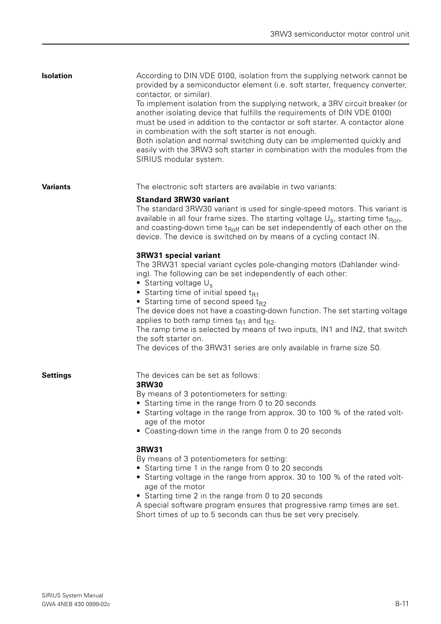| <b>Isolation</b> | According to DIN VDE 0100, isolation from the supplying network cannot be<br>provided by a semiconductor element (i.e. soft starter, frequency converter,<br>contactor, or similar).<br>To implement isolation from the supplying network, a 3RV circuit breaker (or<br>another isolating device that fulfills the requirements of DIN VDE 0100)<br>must be used in addition to the contactor or soft starter. A contactor alone<br>in combination with the soft starter is not enough.<br>Both isolation and normal switching duty can be implemented quickly and<br>easily with the 3RW3 soft starter in combination with the modules from the<br>SIRIUS modular system. |
|------------------|----------------------------------------------------------------------------------------------------------------------------------------------------------------------------------------------------------------------------------------------------------------------------------------------------------------------------------------------------------------------------------------------------------------------------------------------------------------------------------------------------------------------------------------------------------------------------------------------------------------------------------------------------------------------------|
| <b>Variants</b>  | The electronic soft starters are available in two variants:<br><b>Standard 3RW30 variant</b>                                                                                                                                                                                                                                                                                                                                                                                                                                                                                                                                                                               |
|                  | The standard 3RW30 variant is used for single-speed motors. This variant is<br>available in all four frame sizes. The starting voltage $U_s$ , starting time t <sub>Ron</sub> ,<br>and coasting-down time t <sub>Roff</sub> can be set independently of each other on the<br>device. The device is switched on by means of a cycling contact IN.                                                                                                                                                                                                                                                                                                                           |
|                  | 3RW31 special variant<br>The 3RW31 special variant cycles pole-changing motors (Dahlander wind-<br>ing). The following can be set independently of each other:<br>• Starting voltage $U_s$<br>• Starting time of initial speed $t_{R1}$<br>• Starting time of second speed $t_{R2}$<br>The device does not have a coasting-down function. The set starting voltage<br>applies to both ramp times $t_{R1}$ and $t_{R2}$ .<br>The ramp time is selected by means of two inputs, IN1 and IN2, that switch<br>the soft starter on.<br>The devices of the 3RW31 series are only available in frame size S0.                                                                     |
| <b>Settings</b>  | The devices can be set as follows:<br>3RW30<br>By means of 3 potentiometers for setting:<br>Starting time in the range from 0 to 20 seconds<br>Starting voltage in the range from approx. 30 to 100 % of the rated volt-<br>age of the motor<br>• Coasting-down time in the range from 0 to 20 seconds                                                                                                                                                                                                                                                                                                                                                                     |
|                  | 3RW31<br>By means of 3 potentiometers for setting:<br>• Starting time 1 in the range from 0 to 20 seconds<br>• Starting voltage in the range from approx. 30 to 100 % of the rated volt-<br>age of the motor<br>• Starting time 2 in the range from 0 to 20 seconds<br>A special software program ensures that progressive ramp times are set.<br>Short times of up to 5 seconds can thus be set very precisely.                                                                                                                                                                                                                                                           |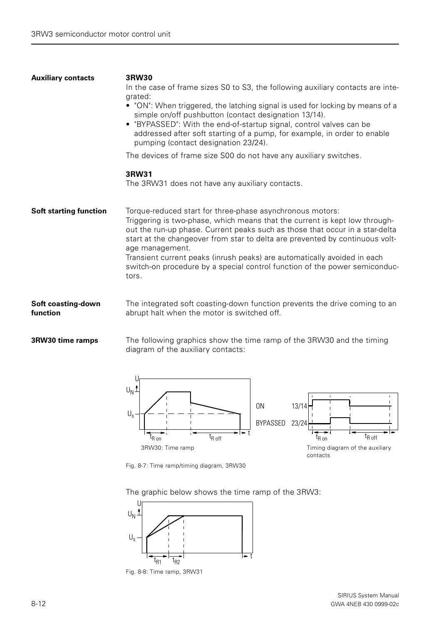| <b>Auxiliary contacts</b>      | <b>3RW30</b><br>In the case of frame sizes S0 to S3, the following auxiliary contacts are inte-<br>grated:<br>• "ON": When triggered, the latching signal is used for locking by means of a<br>simple on/off pushbutton (contact designation 13/14).<br>• "BYPASSED": With the end-of-startup signal, control valves can be<br>addressed after soft starting of a pump, for example, in order to enable<br>pumping (contact designation 23/24).                                               |
|--------------------------------|-----------------------------------------------------------------------------------------------------------------------------------------------------------------------------------------------------------------------------------------------------------------------------------------------------------------------------------------------------------------------------------------------------------------------------------------------------------------------------------------------|
|                                | The devices of frame size S00 do not have any auxiliary switches.                                                                                                                                                                                                                                                                                                                                                                                                                             |
|                                | 3RW31<br>The 3RW31 does not have any auxiliary contacts.                                                                                                                                                                                                                                                                                                                                                                                                                                      |
| <b>Soft starting function</b>  | Torque-reduced start for three-phase asynchronous motors:<br>Triggering is two-phase, which means that the current is kept low through-<br>out the run-up phase. Current peaks such as those that occur in a star-delta<br>start at the changeover from star to delta are prevented by continuous volt-<br>age management.<br>Transient current peaks (inrush peaks) are automatically avoided in each<br>switch-on procedure by a special control function of the power semiconduc-<br>tors. |
| Soft coasting-down<br>function | The integrated soft coasting-down function prevents the drive coming to an<br>abrupt halt when the motor is switched off.                                                                                                                                                                                                                                                                                                                                                                     |

**3RW30 time ramps** The following graphics show the time ramp of the 3RW30 and the timing diagram of the auxiliary contacts:



Fig. 8-7: Time ramp/timing diagram, 3RW30

The graphic below shows the time ramp of the 3RW3:



Fig. 8-8: Time ramp, 3RW31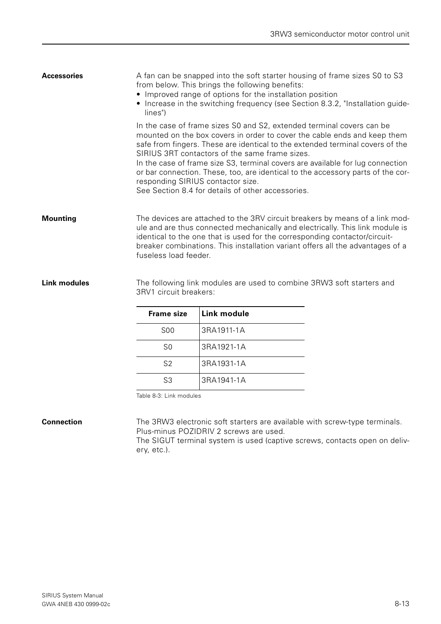| <b>Accessories</b> | A fan can be snapped into the soft starter housing of frame sizes S0 to S3<br>from below. This brings the following benefits:<br>• Improved range of options for the installation position<br>• Increase in the switching frequency (see Section 8.3.2, "Installation guide-<br>lines")                                                                                                                                                                                                                                                             |
|--------------------|-----------------------------------------------------------------------------------------------------------------------------------------------------------------------------------------------------------------------------------------------------------------------------------------------------------------------------------------------------------------------------------------------------------------------------------------------------------------------------------------------------------------------------------------------------|
|                    | In the case of frame sizes S0 and S2, extended terminal covers can be<br>mounted on the box covers in order to cover the cable ends and keep them<br>safe from fingers. These are identical to the extended terminal covers of the<br>SIRIUS 3RT contactors of the same frame sizes.<br>In the case of frame size S3, terminal covers are available for lug connection<br>or bar connection. These, too, are identical to the accessory parts of the cor-<br>responding SIRIUS contactor size.<br>See Section 8.4 for details of other accessories. |
| <b>Mounting</b>    | The devices are attached to the 3RV circuit breakers by means of a link mod-<br>ule and are thus connected mechanically and electrically. This link module is<br>identical to the one that is used for the corresponding contactor/circuit-<br>breaker combinations. This installation variant offers all the advantages of a<br>fuseless load feeder.                                                                                                                                                                                              |

**Link modules** The following link modules are used to combine 3RW3 soft starters and 3RV1 circuit breakers:

| <b>Frame size</b> | Link module |
|-------------------|-------------|
| S <sub>00</sub>   | 3RA1911-1A  |
| S <sub>0</sub>    | 3RA1921-1A  |
| S <sub>2</sub>    | 3RA1931-1A  |
| S3                | 3RA1941-1A  |

Table 8-3: Link modules

**Connection** The 3RW3 electronic soft starters are available with screw-type terminals. Plus-minus POZIDRIV 2 screws are used.

> The SIGUT terminal system is used (captive screws, contacts open on delivery, etc.).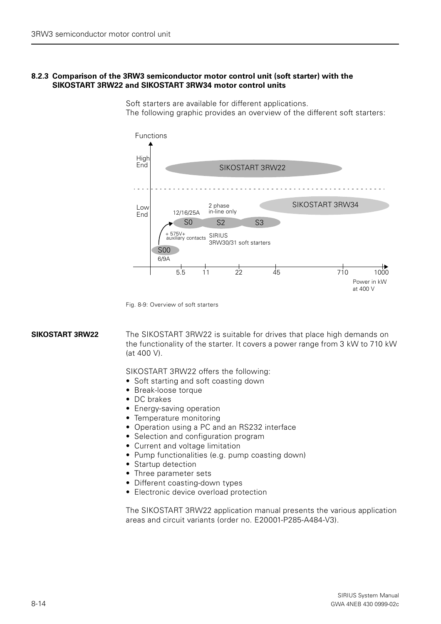#### <span id="page-13-0"></span>**8.2.3 Comparison of the 3RW3 semiconductor motor control unit (soft starter) with the SIKOSTART 3RW22 and SIKOSTART 3RW34 motor control units**



Soft starters are available for different applications. The following graphic provides an overview of the different soft starters:

Fig. 8-9: Overview of soft starters

**SIKOSTART 3RW22** The SIKOSTART 3RW22 is suitable for drives that place high demands on the functionality of the starter. It covers a power range from 3 kW to 710 kW (at 400 V).

SIKOSTART 3RW22 offers the following:

- Soft starting and soft coasting down
- Break-loose torque
- DC brakes
- Energy-saving operation
- Temperature monitoring
- Operation using a PC and an RS232 interface
- Selection and configuration program
- Current and voltage limitation
- Pump functionalities (e.g. pump coasting down)
- Startup detection
- Three parameter sets
- Different coasting-down types
- Electronic device overload protection

The SIKOSTART 3RW22 application manual presents the various application areas and circuit variants (order no. E20001-P285-A484-V3).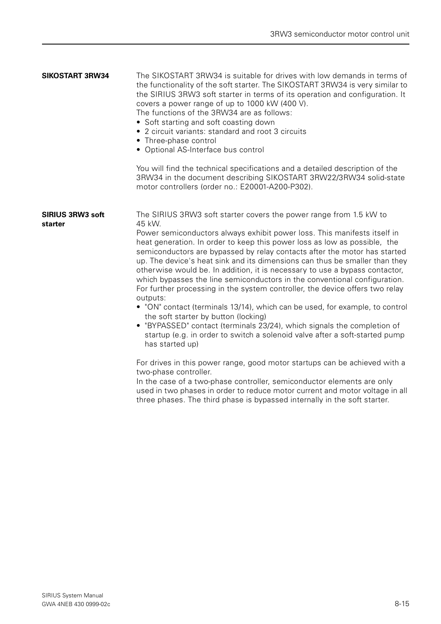| <b>SIKOSTART 3RW34</b>             | The SIKOSTART 3RW34 is suitable for drives with low demands in terms of<br>the functionality of the soft starter. The SIKOSTART 3RW34 is very similar to<br>the SIRIUS 3RW3 soft starter in terms of its operation and configuration. It<br>covers a power range of up to 1000 kW (400 V).<br>The functions of the 3RW34 are as follows:<br>• Soft starting and soft coasting down<br>• 2 circuit variants: standard and root 3 circuits<br>• Three-phase control<br>• Optional AS-Interface bus control                                                                                                                                                                                                                                                                                                                                                                                                                                                                                                                                                              |
|------------------------------------|-----------------------------------------------------------------------------------------------------------------------------------------------------------------------------------------------------------------------------------------------------------------------------------------------------------------------------------------------------------------------------------------------------------------------------------------------------------------------------------------------------------------------------------------------------------------------------------------------------------------------------------------------------------------------------------------------------------------------------------------------------------------------------------------------------------------------------------------------------------------------------------------------------------------------------------------------------------------------------------------------------------------------------------------------------------------------|
|                                    | You will find the technical specifications and a detailed description of the<br>3RW34 in the document describing SIKOSTART 3RW22/3RW34 solid-state<br>motor controllers (order no.: E20001-A200-P302).                                                                                                                                                                                                                                                                                                                                                                                                                                                                                                                                                                                                                                                                                                                                                                                                                                                                |
| <b>SIRIUS 3RW3 soft</b><br>starter | The SIRIUS 3RW3 soft starter covers the power range from 1.5 kW to<br>45 kW.<br>Power semiconductors always exhibit power loss. This manifests itself in<br>heat generation. In order to keep this power loss as low as possible, the<br>semiconductors are bypassed by relay contacts after the motor has started<br>up. The device's heat sink and its dimensions can thus be smaller than they<br>otherwise would be. In addition, it is necessary to use a bypass contactor,<br>which bypasses the line semiconductors in the conventional configuration.<br>For further processing in the system controller, the device offers two relay<br>outputs:<br>• "ON" contact (terminals 13/14), which can be used, for example, to control<br>the soft starter by button (locking)<br>• "BYPASSED" contact (terminals 23/24), which signals the completion of<br>startup (e.g. in order to switch a solenoid valve after a soft-started pump<br>has started up)<br>For drives in this power range, good motor startups can be achieved with a<br>two-phase controller. |
|                                    | In the case of a two-phase controller, semiconductor elements are only<br>used in two phases in order to reduce motor current and motor voltage in all                                                                                                                                                                                                                                                                                                                                                                                                                                                                                                                                                                                                                                                                                                                                                                                                                                                                                                                |

three phases. The third phase is bypassed internally in the soft starter.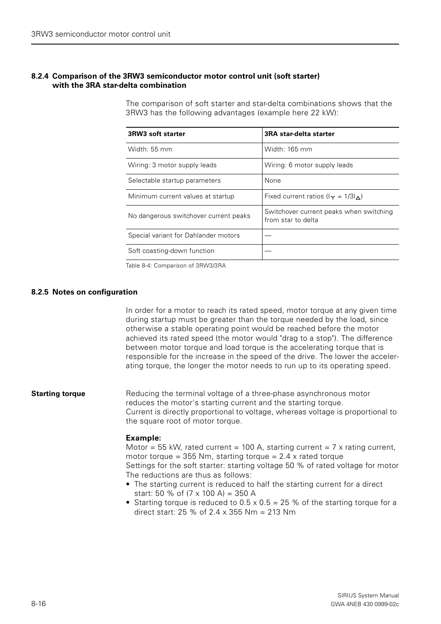#### <span id="page-15-0"></span>**8.2.4 Comparison of the 3RW3 semiconductor motor control unit (soft starter) with the 3RA star-delta combination**

The comparison of soft starter and star-delta combinations shows that the 3RW3 has the following advantages (example here 22 kW):

| 3RW3 soft starter                     | 3RA star-delta starter                                        |
|---------------------------------------|---------------------------------------------------------------|
| Width: 55 mm                          | Width: 165 mm                                                 |
| Wiring: 3 motor supply leads          | Wiring: 6 motor supply leads                                  |
| Selectable startup parameters         | None                                                          |
| Minimum current values at startup     | Fixed current ratios ( $I_{\Upsilon} = 1/3I_{\Lambda}$ )      |
| No dangerous switchover current peaks | Switchover current peaks when switching<br>from star to delta |
| Special variant for Dahlander motors  |                                                               |
| Soft coasting-down function           |                                                               |

Table 8-4: Comparison of 3RW3/3RA

#### <span id="page-15-1"></span>**8.2.5 Notes on configuration**

In order for a motor to reach its rated speed, motor torque at any given time during startup must be greater than the torque needed by the load, since otherwise a stable operating point would be reached before the motor achieved its rated speed (the motor would "drag to a stop"). The difference between motor torque and load torque is the accelerating torque that is responsible for the increase in the speed of the drive. The lower the accelerating torque, the longer the motor needs to run up to its operating speed.

#### **Starting torque** Reducing the terminal voltage of a three-phase asynchronous motor reduces the motor's starting current and the starting torque. Current is directly proportional to voltage, whereas voltage is proportional to the square root of motor torque.

#### **Example:**

Motor = 55 kW, rated current = 100 A, starting current = 7 x rating current, motor torque =  $355$  Nm, starting torque =  $2.4$  x rated torque Settings for the soft starter: starting voltage 50 % of rated voltage for motor The reductions are thus as follows:

- The starting current is reduced to half the starting current for a direct start: 50 % of  $(7 \times 100 \text{ A}) = 350 \text{ A}$
- Starting torque is reduced to  $0.5 \times 0.5 = 25$  % of the starting torque for a direct start: 25 % of  $2.4 \times 355$  Nm = 213 Nm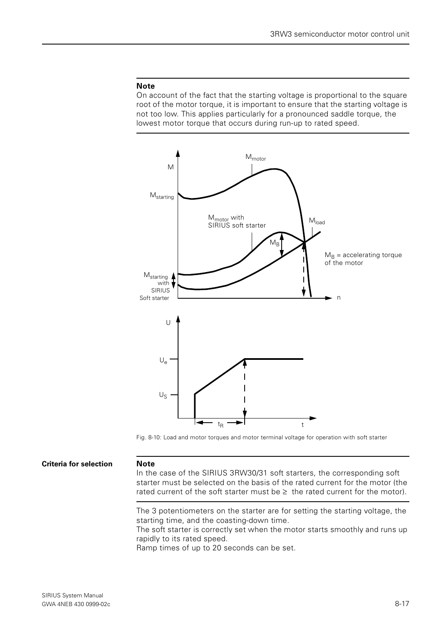#### **Note**

On account of the fact that the starting voltage is proportional to the square root of the motor torque, it is important to ensure that the starting voltage is not too low. This applies particularly for a pronounced saddle torque, the lowest motor torque that occurs during run-up to rated speed.



Fig. 8-10: Load and motor torques and motor terminal voltage for operation with soft starter

#### **Criteria for selection Note**

In the case of the SIRIUS 3RW30/31 soft starters, the corresponding soft starter must be selected on the basis of the rated current for the motor (the rated current of the soft starter must be  $\geq$  the rated current for the motor).

The 3 potentiometers on the starter are for setting the starting voltage, the starting time, and the coasting-down time.

The soft starter is correctly set when the motor starts smoothly and runs up rapidly to its rated speed.

Ramp times of up to 20 seconds can be set.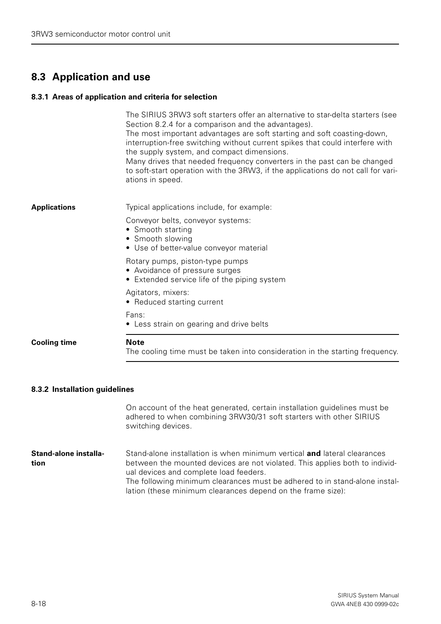# <span id="page-17-0"></span>**8.3 Application and use**

#### <span id="page-17-1"></span>**8.3.1 Areas of application and criteria for selection**

|                     | The SIRIUS 3RW3 soft starters offer an alternative to star-delta starters (see<br>Section 8.2.4 for a comparison and the advantages).<br>The most important advantages are soft starting and soft coasting-down,<br>interruption-free switching without current spikes that could interfere with<br>the supply system, and compact dimensions.<br>Many drives that needed frequency converters in the past can be changed<br>to soft-start operation with the 3RW3, if the applications do not call for vari-<br>ations in speed. |
|---------------------|-----------------------------------------------------------------------------------------------------------------------------------------------------------------------------------------------------------------------------------------------------------------------------------------------------------------------------------------------------------------------------------------------------------------------------------------------------------------------------------------------------------------------------------|
| Applications        | Typical applications include, for example:                                                                                                                                                                                                                                                                                                                                                                                                                                                                                        |
|                     | Conveyor belts, conveyor systems:<br>• Smooth starting<br>• Smooth slowing<br>• Use of better-value conveyor material                                                                                                                                                                                                                                                                                                                                                                                                             |
|                     | Rotary pumps, piston-type pumps<br>• Avoidance of pressure surges<br>• Extended service life of the piping system                                                                                                                                                                                                                                                                                                                                                                                                                 |
|                     | Agitators, mixers:<br>• Reduced starting current                                                                                                                                                                                                                                                                                                                                                                                                                                                                                  |
|                     | Fans:<br>• Less strain on gearing and drive belts                                                                                                                                                                                                                                                                                                                                                                                                                                                                                 |
| <b>Cooling time</b> | <b>Note</b><br>The cooling time must be taken into consideration in the starting frequency.                                                                                                                                                                                                                                                                                                                                                                                                                                       |
|                     |                                                                                                                                                                                                                                                                                                                                                                                                                                                                                                                                   |

### <span id="page-17-2"></span>**8.3.2 Installation guidelines**

On account of the heat generated, certain installation guidelines must be adhered to when combining 3RW30/31 soft starters with other SIRIUS switching devices.

**Stand-alone installation** Stand-alone installation is when minimum vertical **and** lateral clearances between the mounted devices are not violated. This applies both to individual devices and complete load feeders. The following minimum clearances must be adhered to in stand-alone installation (these minimum clearances depend on the frame size):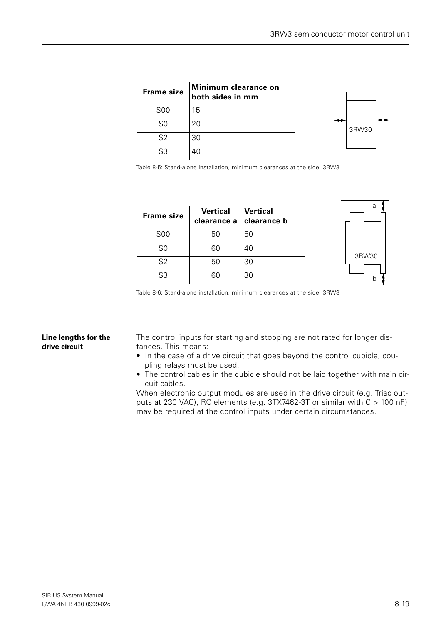| <b>Frame size</b> | Minimum clearance on<br>both sides in mm |
|-------------------|------------------------------------------|
| <b>SOO</b>        | 15                                       |
| S0                | 20                                       |
| S <sub>2</sub>    | 30                                       |
| 53                |                                          |



Table 8-5: Stand-alone installation, minimum clearances at the side, 3RW3

| <b>Frame size</b> | <b>Vertical</b><br>clearance a | <b>Vertical</b><br><b>clearance b</b> | a     |
|-------------------|--------------------------------|---------------------------------------|-------|
| <b>S00</b>        | 50                             | 50                                    |       |
| S <sub>0</sub>    | 60                             | 40                                    | 3RW30 |
| S <sub>2</sub>    | 50                             | 30                                    |       |
| S3                | 60                             | 30                                    | b     |

Table 8-6: Stand-alone installation, minimum clearances at the side, 3RW3

#### **Line lengths for the drive circuit**

The control inputs for starting and stopping are not rated for longer distances. This means:

- In the case of a drive circuit that goes beyond the control cubicle, coupling relays must be used.
- The control cables in the cubicle should not be laid together with main circuit cables.

When electronic output modules are used in the drive circuit (e.g. Triac outputs at 230 VAC), RC elements (e.g.  $3TX7462-3T$  or similar with  $C > 100$  nF) may be required at the control inputs under certain circumstances.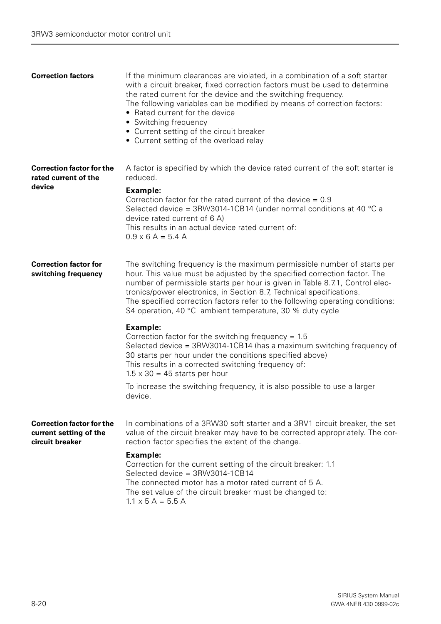| <b>Correction factors</b>                                                     | If the minimum clearances are violated, in a combination of a soft starter<br>with a circuit breaker, fixed correction factors must be used to determine<br>the rated current for the device and the switching frequency.<br>The following variables can be modified by means of correction factors:<br>• Rated current for the device<br>• Switching frequency<br>• Current setting of the circuit breaker<br>• Current setting of the overload relay    |
|-------------------------------------------------------------------------------|-----------------------------------------------------------------------------------------------------------------------------------------------------------------------------------------------------------------------------------------------------------------------------------------------------------------------------------------------------------------------------------------------------------------------------------------------------------|
| <b>Correction factor for the</b><br>rated current of the                      | A factor is specified by which the device rated current of the soft starter is<br>reduced.                                                                                                                                                                                                                                                                                                                                                                |
| device                                                                        | Example:<br>Correction factor for the rated current of the device $= 0.9$<br>Selected device = $3$ RW3014-1CB14 (under normal conditions at 40 $^{\circ}$ C a<br>device rated current of 6 A)<br>This results in an actual device rated current of:<br>$0.9 \times 6$ A = 5.4 A                                                                                                                                                                           |
| <b>Correction factor for</b><br>switching frequency                           | The switching frequency is the maximum permissible number of starts per<br>hour. This value must be adjusted by the specified correction factor. The<br>number of permissible starts per hour is given in Table 8.7.1, Control elec-<br>tronics/power electronics, in Section 8.7, Technical specifications.<br>The specified correction factors refer to the following operating conditions:<br>S4 operation, 40 °C ambient temperature, 30 % duty cycle |
|                                                                               | <b>Example:</b><br>Correction factor for the switching frequency = $1.5$<br>Selected device = 3RW3014-1CB14 (has a maximum switching frequency of<br>30 starts per hour under the conditions specified above)<br>This results in a corrected switching frequency of:<br>$1.5 \times 30 = 45$ starts per hour                                                                                                                                              |
|                                                                               | To increase the switching frequency, it is also possible to use a larger<br>device.                                                                                                                                                                                                                                                                                                                                                                       |
| <b>Correction factor for the</b><br>current setting of the<br>circuit breaker | In combinations of a 3RW30 soft starter and a 3RV1 circuit breaker, the set<br>value of the circuit breaker may have to be corrected appropriately. The cor-<br>rection factor specifies the extent of the change.                                                                                                                                                                                                                                        |
|                                                                               | Example:<br>Correction for the current setting of the circuit breaker: 1.1<br>Selected device = 3RW3014-1CB14<br>The connected motor has a motor rated current of 5 A.<br>The set value of the circuit breaker must be changed to:<br>$1.1 \times 5$ A = 5.5 A                                                                                                                                                                                            |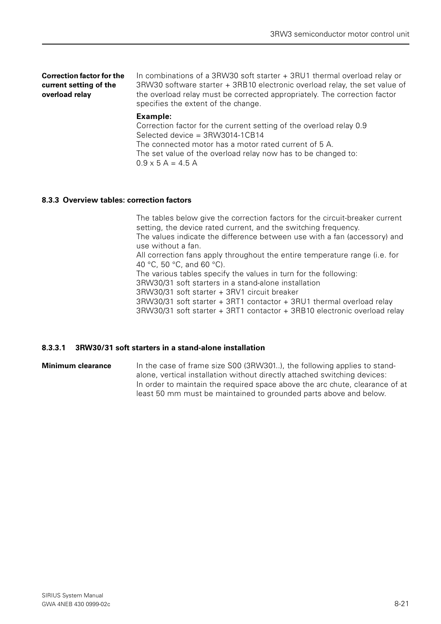| <b>Correction factor for the</b><br>current setting of the<br>overload relay | In combinations of a 3RW30 soft starter + 3RU1 thermal overload relay or<br>3RW30 software starter + 3RB10 electronic overload relay, the set value of<br>the overload relay must be corrected appropriately. The correction factor<br>specifies the extent of the change. |
|------------------------------------------------------------------------------|----------------------------------------------------------------------------------------------------------------------------------------------------------------------------------------------------------------------------------------------------------------------------|
|                                                                              | Example:<br>Correction factor for the current setting of the overload relay 0.9<br>Selected device = 3RW3014-1CB14                                                                                                                                                         |

The connected motor has a motor rated current of 5 A. The set value of the overload relay now has to be changed to:  $0.9 \times 5 A = 4.5 A$ 

#### <span id="page-20-0"></span>**8.3.3 Overview tables: correction factors**

The tables below give the correction factors for the circuit-breaker current setting, the device rated current, and the switching frequency. The values indicate the difference between use with a fan (accessory) and use without a fan. All correction fans apply throughout the entire temperature range (i.e. for 40 °C, 50 °C, and 60 °C). The various tables specify the values in turn for the following: 3RW30/31 soft starters in a stand-alone installation 3RW30/31 soft starter + 3RV1 circuit breaker 3RW30/31 soft starter + 3RT1 contactor + 3RU1 thermal overload relay 3RW30/31 soft starter + 3RT1 contactor + 3RB10 electronic overload relay

#### <span id="page-20-1"></span>**8.3.3.1 3RW30/31 soft starters in a stand-alone installation**

**Minimum clearance** In the case of frame size S00 (3RW301..), the following applies to standalone, vertical installation without directly attached switching devices: In order to maintain the required space above the arc chute, clearance of at least 50 mm must be maintained to grounded parts above and below.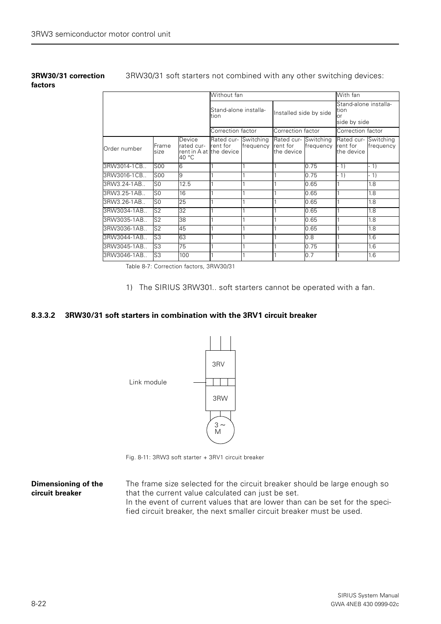**3RW30/31 correction** 

**factors**

3RW30/31 soft starters not combined with any other switching devices:

#### Without fan **With fan With fan With fan Ditter** Stand-alone installa-Installed side by side Stand-alone installation or side by side Correction factor Correction factor Correction factor Order number Frame size Device rated current in A at the device 40 °C Rated current for Switching frequency Rated current for the device Switching frequency Rated current for the device Switching frequency 3RW3014-1CB.. S00 6 1 1 1 1 0.75 - 1) - 1) 3RW3016-1CB.. S00 9 1 1 1 0.75 - 1) - 1) 3RW3.24-1AB.. S0 12.5 11 1 1 1 0.65 1 1.8 3RW3.25-1AB.. S0 16 1 1 1 1 0.65 1 1.8 3RW3.26-1AB.. S0 25 1 1 1 1 0.65 1 1.8 3RW3034-1AB.. S2 32 1 1 1 1 0.65 1 13 3RW3035-1AB.. S2 38 1 1 1 1 1 0.65 1 1.8 3RW3036-1AB.. S2 45 1 1 1 1 0.65 1 1.8 3RW3044-1AB.. S3 63 1 1 1 1 1 0.8 1 1.6 3RW3045-1AB.. S3 75 1 1 1 0.75 1 1.6 3RW3046-1AB.. S3 100 1 1 1 1 0.7 1 1.6

Table 8-7: Correction factors, 3RW30/31

1) The SIRIUS 3RW301.. soft starters cannot be operated with a fan.

#### <span id="page-21-0"></span>**8.3.3.2 3RW30/31 soft starters in combination with the 3RV1 circuit breaker**



Fig. 8-11: 3RW3 soft starter + 3RV1 circuit breaker

#### **Dimensioning of the circuit breaker** The frame size selected for the circuit breaker should be large enough so that the current value calculated can just be set. In the event of current values that are lower than can be set for the specified circuit breaker, the next smaller circuit breaker must be used.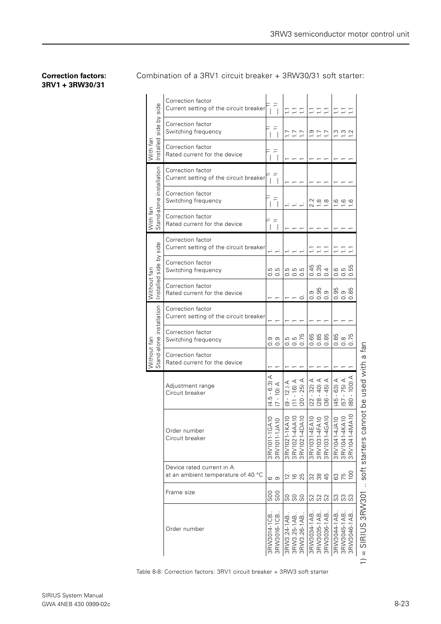#### **Correction factors: 3RV1 + 3RW30/31**

Combination of a 3RV1 circuit breaker + 3RW30/31 soft starter:

|                          | Correction factor<br>Current setting of the circuit breaker     | $\overline{\phantom{a}}$                                                      |                                   | ロロロ                                              |                                                                                                    |                            | $\Xi \equiv \Xi$                                                                                                                                                            |              | EEE                                  |                                         |             |                                          |
|--------------------------|-----------------------------------------------------------------|-------------------------------------------------------------------------------|-----------------------------------|--------------------------------------------------|----------------------------------------------------------------------------------------------------|----------------------------|-----------------------------------------------------------------------------------------------------------------------------------------------------------------------------|--------------|--------------------------------------|-----------------------------------------|-------------|------------------------------------------|
| side by side             | Correction factor<br>Switching frequency                        | ≘                                                                             |                                   | いいい                                              |                                                                                                    |                            | 227                                                                                                                                                                         |              |                                      | $\frac{20}{11}$ $\frac{20}{11}$         |             |                                          |
| hstalled<br>With fan     | Correction factor<br>Rated current for the device               |                                                                               |                                   |                                                  |                                                                                                    |                            |                                                                                                                                                                             |              |                                      |                                         |             |                                          |
|                          | Correction factor<br>Current setting of the circuit breaker     | ≘<br>$\overline{\phantom{a}}$                                                 |                                   |                                                  |                                                                                                    |                            |                                                                                                                                                                             |              |                                      |                                         |             |                                          |
| Stand-alone installation | Correction factor<br>Switching frequency                        | $\widehat{\overline{\phantom{m}}}\hspace{1pt}$                                |                                   |                                                  |                                                                                                    |                            | $2.800$<br>$-2.800$                                                                                                                                                         |              |                                      | 69.6                                    |             |                                          |
| With fan                 | Correction factor<br>Rated current for the device               | $\overline{\phantom{a}}$                                                      |                                   |                                                  |                                                                                                    |                            |                                                                                                                                                                             |              |                                      |                                         |             |                                          |
| side                     | Correction factor<br>Current setting of the circuit breaker     |                                                                               |                                   |                                                  |                                                                                                    |                            | ココロ                                                                                                                                                                         |              |                                      | ごごご                                     |             |                                          |
| side by                  | Correction factor<br>Switching frequency                        | G<br>G<br>o o                                                                 |                                   | ro ro ro<br>$\circ$ $\circ$ $\circ$              |                                                                                                    | က က                        | 0000                                                                                                                                                                        |              |                                      | <b>@</b> @ @<br>$\circ$ $\circ$ $\circ$ | ഥ           |                                          |
| Without fan<br>hstalled  | Correction factor<br>Rated current for the device               |                                                                               |                                   |                                                  | $\circ$                                                                                            |                            | စ္ ဗို စ္<br>$\circ$ $\circ$ $\circ$                                                                                                                                        |              |                                      | 8 0 8<br>8<br>000                       |             |                                          |
|                          | Correction factor<br>Current setting of the circuit breaker     |                                                                               |                                   |                                                  |                                                                                                    |                            |                                                                                                                                                                             |              |                                      |                                         |             |                                          |
| Stand-alone installation | Correction factor<br>Switching frequency                        | တ တ<br>$\circ$                                                                |                                   | 5<br>5 5 5 6<br>5 5 6                            |                                                                                                    |                            | <b>888</b><br>000                                                                                                                                                           |              |                                      | 8<br>8<br>8<br>8<br>7<br>5<br>000       |             |                                          |
| Without fan              | Correction factor<br>Rated current for the device               |                                                                               |                                   |                                                  |                                                                                                    |                            |                                                                                                                                                                             |              |                                      |                                         |             |                                          |
|                          | Adjustment range<br>Circuit breaker                             | ⋖<br>$\widehat{\omega}$<br>ဖ<br>$\widehat{\Theta}$<br>ഥ<br>$\mathbf{I}$<br>ココ | $\triangleleft$<br>$\overline{2}$ | $\triangleleft$ $\triangleleft$<br>$-16$<br>9.58 | $-25$                                                                                              | 32)<br>$\mathbf I$<br>(22) | $\begin{array}{c} \mathcal{A} \\ \mathcal{A} \\ \mathcal{A} \\ \mathcal{G} \\ \mathcal{G} \\ \mathcal{B} \\ \mathcal{A} \\ \mathcal{B} \end{array}$<br>$\mathbf{I}$<br>(28) | $\mathbf{1}$ | $5 - 63)$ A<br>$-75)$ A<br>$-100)$ A | 4580                                    |             | not be used with a fan                   |
|                          | Order number<br>Circuit breaker                                 | $\supseteq$<br>3RV1011-1GA<br>3RV1011-1JA                                     |                                   |                                                  | 3RV1021-1KA10<br>3RV1021-4AA10<br>3RV1021-4DA10<br>3RV1031-4EA10<br>3RV1031-4EA10<br>3RV1031-4GA10 |                            |                                                                                                                                                                             |              | 222<br>3RV1041-4JA                   | 3RV1041-4KA                             | 3RV1041-4M  | soft starters ca                         |
|                          | Device rated current in A<br>at an ambient temperature of 40 °C | ဖ ၈                                                                           |                                   | 269                                              |                                                                                                    |                            | 3<br>3<br>3<br>4<br>4                                                                                                                                                       |              |                                      | 63<br>75                                | 100         |                                          |
|                          | Frame size                                                      | <u>ဒီ</u>                                                                     |                                   | 888                                              |                                                                                                    |                            | 888                                                                                                                                                                         |              | အ အ                                  |                                         | S           |                                          |
|                          | Order number                                                    | 3RW3014-1CB<br>3RW3016-1CB                                                    |                                   | 3RW3.24-1AB.<br>3RW3.25-1AB.                     | 3RW3.26-1AB.                                                                                       | 3RW3034-1AB.               | 3RW3035-1AB<br>3RW3036-1AB                                                                                                                                                  |              | 3RW3044-1AB                          | 3RW3045-1AB                             | 3RW3046-1AB | SIRIUS 3RW301<br>$\overline{\mathbf{u}}$ |

Table 8-8: Correction factors: 3RV1 circuit breaker + 3RW3 soft starter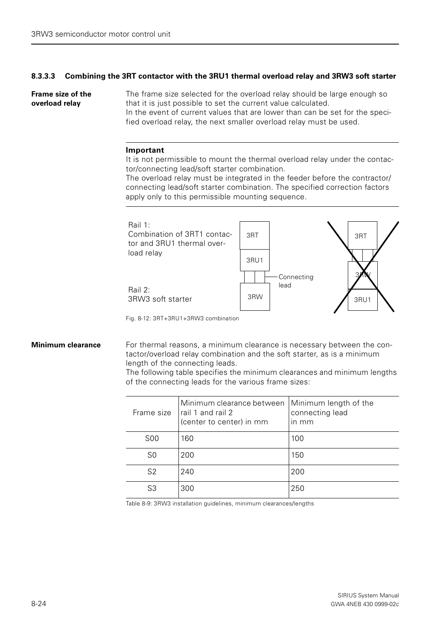#### <span id="page-23-0"></span>**8.3.3.3 Combining the 3RT contactor with the 3RU1 thermal overload relay and 3RW3 soft starter**

**Frame size of the overload relay** The frame size selected for the overload relay should be large enough so that it is just possible to set the current value calculated.

In the event of current values that are lower than can be set for the specified overload relay, the next smaller overload relay must be used.

#### **Important**

It is not permissible to mount the thermal overload relay under the contactor/connecting lead/soft starter combination.

The overload relay must be integrated in the feeder before the contractor/ connecting lead/soft starter combination. The specified correction factors apply only to this permissible mounting sequence.



Fig. 8-12: 3RT+3RU1+3RW3 combination

**Minimum clearance** For thermal reasons, a minimum clearance is necessary between the contactor/overload relay combination and the soft starter, as is a minimum length of the connecting leads.

> The following table specifies the minimum clearances and minimum lengths of the connecting leads for the various frame sizes:

| Frame size     | Minimum clearance between<br>rail 1 and rail 2<br>(center to center) in mm | Minimum length of the<br>connecting lead<br>$\mathsf{In} \mathsf{mm}$ |
|----------------|----------------------------------------------------------------------------|-----------------------------------------------------------------------|
| S <sub>0</sub> | 160                                                                        | 100                                                                   |
| S <sub>0</sub> | 200                                                                        | 150                                                                   |
| S <sub>2</sub> | 240                                                                        | 200                                                                   |
| S3             | 300                                                                        | 250                                                                   |

Table 8-9: 3RW3 installation guidelines, minimum clearances/lengths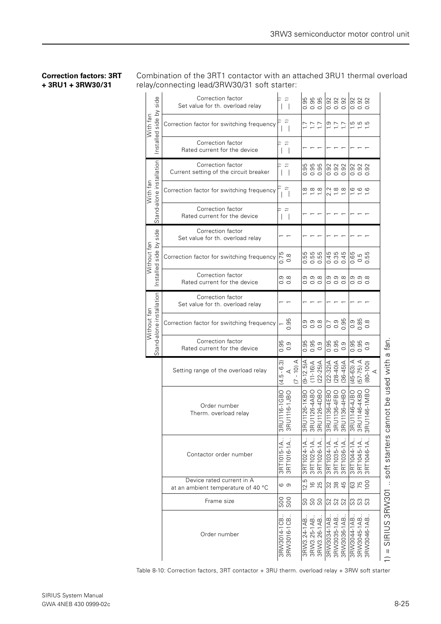#### **Correction factors: 3RT + 3RU1 + 3RW30/31**

Combination of the 3RT1 contactor with an attached 3RU1 thermal overload relay/connecting lead/3RW30/31 soft starter:

| side                                    | Correction factor<br>Set value for th. overload relay           |                                | $\widehat{-}$<br>$\blacksquare$           |                             |             | 8<br>9<br>0 0 0<br>0 0 0                                                |             | 0.92<br>0.92<br>0.92                                           |                                     |                  |                        | 0.92<br>0.92<br>0.92                                                                   |               |                 |                               |
|-----------------------------------------|-----------------------------------------------------------------|--------------------------------|-------------------------------------------|-----------------------------|-------------|-------------------------------------------------------------------------|-------------|----------------------------------------------------------------|-------------------------------------|------------------|------------------------|----------------------------------------------------------------------------------------|---------------|-----------------|-------------------------------|
| Installed side by<br>With fan           | Correction factor for switching frequency                       |                                | $\overline{\phantom{a}}$                  |                             |             | いごご                                                                     |             | 227                                                            |                                     |                  |                        | a a a                                                                                  |               |                 |                               |
|                                         | Correction factor<br>Rated current for the device               |                                | $\widehat{=}$<br>$\vert \ \ \vert$        |                             |             |                                                                         |             |                                                                |                                     |                  |                        |                                                                                        |               |                 |                               |
|                                         | Correction factor<br>Current setting of the circuit breaker     |                                | $\widehat{=}$<br>$\overline{\phantom{0}}$ |                             |             | စ္ပဲ စ္ပဲ<br>၁၀ စ<br>$\circ$ $\circ$ $\circ$                            |             |                                                                | 9, 9, 9,<br>$\circ$ $\circ$ $\circ$ |                  |                        | $\overline{O}$ $\overline{O}$ $\overline{O}$ $\overline{O}$<br>$\circ$ $\circ$ $\circ$ |               |                 |                               |
| With fan                                | Correction factor for switching frequency                       |                                |                                           |                             |             | $\frac{\infty}{\infty}$ $\frac{\infty}{\infty}$                         |             | $2, 8, 8$<br>$7, 8, 8$                                         |                                     |                  |                        | $\frac{6}{1}$ $\frac{6}{1}$ $\frac{6}{1}$                                              |               |                 |                               |
| Stand-alone installation                | Correction factor<br>Rated current for the device               |                                | ≘<br>- 1                                  |                             |             |                                                                         |             |                                                                |                                     |                  |                        |                                                                                        |               |                 |                               |
| side                                    | Correction factor<br>Set value for th. overload relay           |                                |                                           |                             |             |                                                                         |             |                                                                |                                     |                  |                        |                                                                                        |               |                 |                               |
| $\gtrsim$<br>fan<br>side<br>Without     | Correction factor for switching frequency                       |                                | $0.75$<br>0.8                             |                             |             | ង<br>ង ង ង<br>o o o                                                     |             |                                                                |                                     |                  |                        | 9.5<br>0.5<br>0.0<br>0.0                                                               |               |                 |                               |
| hstalled                                | Correction factor<br>Rated current for the device               |                                | တ ထ<br>$\circ$ $\circ$                    |                             |             | တ တ ထ<br>0 0 0                                                          |             |                                                                | တ တ ထ<br>$\circ \circ \circ$        |                  |                        | တ တ ထ<br>000                                                                           |               |                 |                               |
|                                         | Correction factor<br>Set value for th. overload relay           |                                |                                           |                             |             |                                                                         |             |                                                                |                                     |                  |                        |                                                                                        |               |                 |                               |
| Stand-alone installation<br>Without fan | Correction factor for switching frequency                       |                                | 95<br>ö                                   |                             |             | စစစစ<br>ဓဝဝ                                                             |             | 0.9                                                            |                                     | 0.95             |                        | 0.85<br>0.85<br>0.8                                                                    |               |                 |                               |
|                                         | Correction factor<br>Rated current for the device               |                                | $0.95$<br>0.9                             |                             |             | 6.0<br>98.0<br>98.0                                                     |             | 0.95<br>0.95                                                   |                                     | $0.\overline{9}$ |                        | 6.0<br>98.0<br>98.0                                                                    |               |                 |                               |
|                                         | Setting range of the overload relay                             | ကြ<br>$\ddot{\circ}$<br>Б<br>4 | $\prec$                                   | $-10$ ) A<br>$\overline{C}$ | $(A-12.5)$  | $(11 - 16)A$                                                            | $(22-25)A$  | $(22 - 32)A$                                                   | $(28-40)A$                          | $(36-45)$ A      | V (S9-57)              | $(57-75)$                                                                              | $(80 - 100)$  | $\triangleleft$ |                               |
|                                         | Order number<br>Therm. overload relay                           | 3RI<br>3RI                     | 101116-1GBO<br>101116-1JBO                |                             | U1126-1KBO  | 101126-4ABO<br>101126-4DBO<br>$\frac{1}{6}$ $\frac{1}{6}$ $\frac{1}{6}$ |             | RU1136-4EBO<br>RU1136-4FBO<br>RU1136-4HBO<br>$E \napprox 2$    |                                     |                  | OBLT-9711N<br>3R<br>3R | <b>3U1146-4KBO</b><br>1U1146-1MBO                                                      | $\frac{1}{3}$ |                 | nnot be used with a fan<br>69 |
|                                         | Contactor order number                                          |                                | 3RT1015-1A.<br>3RT1016-1A.                |                             | 3RT1024-1A  | 3RT1025-1A.                                                             | 3RT1026-1A. | 3RT1034-1A                                                     | 3RT1035-1A.                         | 3RT1036-1A.      | 3RT1044-1A             | 3RT1045-1A.                                                                            |               |                 | soft starters                 |
|                                         | Device rated current in A<br>at an ambient temperature of 40 °C |                                | ဖ ၈                                       |                             | ω<br>$\sim$ | $16$<br>25                                                              |             | 2884                                                           |                                     |                  |                        | 870                                                                                    |               |                 |                               |
|                                         | Frame size                                                      |                                | 88<br>88                                  |                             |             | ននន                                                                     |             | 888                                                            |                                     |                  | ಜ ಜ ಜ                  |                                                                                        |               |                 |                               |
|                                         | Order number                                                    | 3RW3014-1CB.<br>3RW3016-1CB.   | 3RW301                                    |                             | 3RW3.24-1AB | 3RW3.25-1AB.<br>3RW3.26-1AB.                                            |             | 3RW3034-1AB<br>3RW3035-1AB<br>3RW3036-1AB<br><b>A1-450SMBS</b> |                                     |                  |                        |                                                                                        |               |                 | SIRIUS 3RW301                 |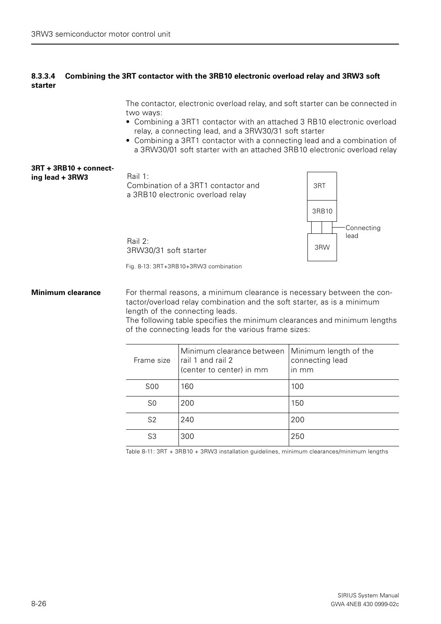#### <span id="page-25-0"></span>**8.3.3.4 Combining the 3RT contactor with the 3RB10 electronic overload relay and 3RW3 soft starter**

The contactor, electronic overload relay, and soft starter can be connected in two ways:

- Combining a 3RT1 contactor with an attached 3 RB10 electronic overload relay, a connecting lead, and a 3RW30/31 soft starter
- Combining a 3RT1 contactor with a connecting lead and a combination of a 3RW30/01 soft starter with an attached 3RB10 electronic overload relay



Fig. 8-13: 3RT+3RB10+3RW3 combination

**Minimum clearance** For thermal reasons, a minimum clearance is necessary between the contactor/overload relay combination and the soft starter, as is a minimum length of the connecting leads.

> The following table specifies the minimum clearances and minimum lengths of the connecting leads for the various frame sizes:

| Frame size     | Minimum clearance between<br>rail 1 and rail 2<br>(center to center) in mm | Minimum length of the<br>connecting lead<br>$\overline{m}$ mm |
|----------------|----------------------------------------------------------------------------|---------------------------------------------------------------|
| <b>S00</b>     | 160                                                                        | 100                                                           |
| S <sub>0</sub> | 200                                                                        | 150                                                           |
| S <sub>2</sub> | 240                                                                        | 200                                                           |
| S <sub>3</sub> | 300                                                                        | 250                                                           |

Table 8-11: 3RT + 3RB10 + 3RW3 installation guidelines, minimum clearances/minimum lengths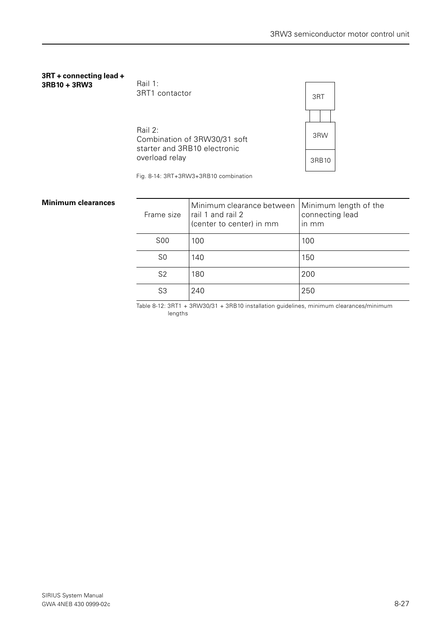#### **3RT + connecting lead + 3RB10 + 3RW3**

Rail 1: 3RT1 contactor

Rail 2: Combination of 3RW30/31 soft starter and 3RB10 electronic overload relay



Fig. 8-14: 3RT+3RW3+3RB10 combination

#### **Minimum clearances**

| Frame size | Minimum clearance between<br>rail 1 and rail 2<br>(center to center) in mm | Minimum length of the<br>connecting lead<br>in mm |
|------------|----------------------------------------------------------------------------|---------------------------------------------------|
| <b>S00</b> | 100                                                                        | 100                                               |
| S0         | 140                                                                        | 150                                               |
| S2         | 180                                                                        | 200                                               |
| S3         | 240                                                                        | 250                                               |

Table 8-12: 3RT1 + 3RW30/31 + 3RB10 installation guidelines, minimum clearances/minimum lengths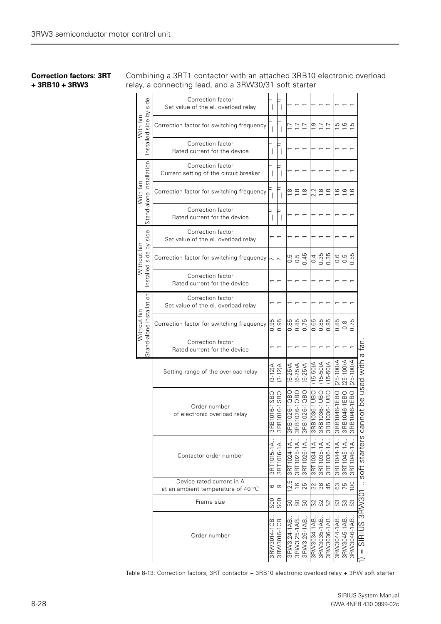#### **Correction factors: 3RT + 3RB10 + 3RW3**

Combining a 3RT1 contactor with an attached 3RB10 electronic overload relay, a connecting lead, and a 3RW30/31 soft starter

| side                                    | Correction factor<br>Set value of the el. overload relay        |                       |                                        |            |                                                          |                                            |                                             |                                |            |                                                                                           |                          |                          |                                                        |  |
|-----------------------------------------|-----------------------------------------------------------------|-----------------------|----------------------------------------|------------|----------------------------------------------------------|--------------------------------------------|---------------------------------------------|--------------------------------|------------|-------------------------------------------------------------------------------------------|--------------------------|--------------------------|--------------------------------------------------------|--|
| nstalled side by<br>With fan            | Correction factor for switching frequency                       |                       |                                        |            | いいけ                                                      |                                            |                                             | $\frac{1}{2} \div \frac{1}{2}$ |            | $\frac{15}{10}$ in the set                                                                |                          |                          |                                                        |  |
|                                         | Correction factor<br>Rated current for the device               |                       |                                        |            |                                                          |                                            |                                             |                                |            |                                                                                           |                          |                          |                                                        |  |
|                                         | Correction factor<br>Current setting of the circuit breaker     |                       |                                        |            |                                                          |                                            |                                             |                                |            |                                                                                           |                          |                          |                                                        |  |
| Stand-alone installation<br>With fan    | Correction factor for switching frequency                       |                       |                                        |            | $\frac{\infty}{1}$ $\frac{\infty}{1}$ $\frac{\infty}{1}$ |                                            | $\sim$                                      | $2, 8, 8$<br>$2, 6, 8$         |            |                                                                                           | ဖ ဖ ဖ                    |                          |                                                        |  |
|                                         | Correction factor<br>Rated current for the device               |                       |                                        |            |                                                          |                                            |                                             |                                |            |                                                                                           |                          |                          |                                                        |  |
| side                                    | Correction factor<br>Set value of the el. overload relay        |                       |                                        |            |                                                          |                                            |                                             |                                |            |                                                                                           |                          |                          |                                                        |  |
| Without fan<br>side by                  | Correction factor for switching frequency                       |                       |                                        |            | 5<br>0.5<br>0.45                                         |                                            |                                             | $0.35$<br>$0.35$               |            |                                                                                           |                          | 0.5<br>0.5<br>0.0<br>0.0 |                                                        |  |
| nstalled                                | Correction factor<br>Rated current for the device               |                       |                                        |            |                                                          |                                            |                                             |                                |            |                                                                                           |                          |                          |                                                        |  |
|                                         | Correction factor<br>Set value of the el. overload relay        |                       |                                        |            |                                                          |                                            |                                             |                                |            |                                                                                           |                          |                          |                                                        |  |
| Stand-alone installation<br>Without fan | Correction factor for switching frequency                       |                       | 95<br>96<br>o o                        |            | 920<br>980<br>980                                        |                                            |                                             | 98<br>98<br>99<br>99           |            | 0.85                                                                                      | $\frac{6}{5}$<br>$\circ$ | $\circ$                  |                                                        |  |
|                                         | Correction factor<br>Rated current for the device               |                       |                                        |            |                                                          |                                            |                                             |                                |            |                                                                                           |                          |                          | tan.<br>$\boldsymbol{\varpi}$                          |  |
|                                         | Setting range of the overload relay                             |                       | $(3-12)A$<br>$(3-12)A$                 |            | (6-25)A<br>(6-25)A<br>(6-25)A                            |                                            | $(15-50)A$<br>(15-50) $A$<br>(15-50) $A$    |                                |            | $25 - 100$ ) A                                                                            | 25-100)A                 | $(001-55)$               |                                                        |  |
|                                         | Order number<br>of electronic overload relay                    |                       | OBS1-910LBL<br>OBS1-910LBL<br>3R<br>3R |            | $\overline{5}$ $\overline{5}$ $\overline{5}$             | 0101-970188<br>10201-970188<br>0101-970188 | 181036-1UBO<br>181036-1UBO<br>181036-1UBO   | $E \napprox 2$                 |            | 3B1046-1EBO<br>3B1046-1EBO<br>3B1046-1EBO<br>$\overline{5}$ $\overline{5}$ $\overline{5}$ |                          |                          | nnot be used with<br>ෆී                                |  |
|                                         | Contactor order number                                          | <b>RT1015-1A</b><br>S | 3RT1016-1A                             | 3RT1024-1A | 3RT1025-1A.                                              |                                            | 3RT1034-1A                                  | 3RT1035-1A                     | 3RT1036-1A | 3RT1044-1A                                                                                | 3RT1045-1A.              | 3RT1046-1A.              | soft starters                                          |  |
|                                         | Device rated current in A<br>at an ambient temperature of 40 °C |                       | ဖ ၈                                    | 2.5        | 167                                                      |                                            |                                             | 384                            |            |                                                                                           | 63<br>75                 | S                        |                                                        |  |
|                                         | Frame size                                                      |                       | SSO<br>SSO                             |            | 888<br>88                                                |                                            |                                             | 828                            |            | n n n<br>0 0 0                                                                            |                          |                          |                                                        |  |
|                                         | Order number                                                    |                       | 3RW3014-1CB<br>3RW3016-1CB             |            | 3RW3.24-1AB.<br>3RW3.25-1AB.<br>3RW3.26-1AB.             |                                            | 3RW3034-1AB.<br>3RW3035-1AB.<br>3RW3036-1AB |                                |            | 3RW3044-1AB.<br>3RW3045-1AB.<br>3RW3046-1AB                                               |                          |                          | S3RW30<br>$\overline{\mathbb{E}}$<br>5<br>$\mathbf{H}$ |  |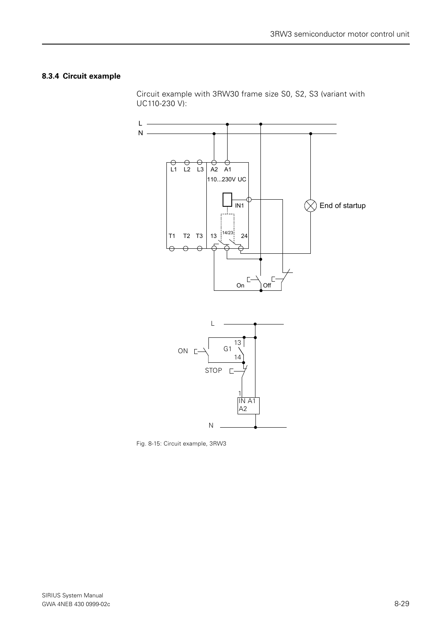### **8.3.4 Circuit example**

Circuit example with 3RW30 frame size S0, S2, S3 (variant with UC110-230 V):





Fig. 8-15: Circuit example, 3RW3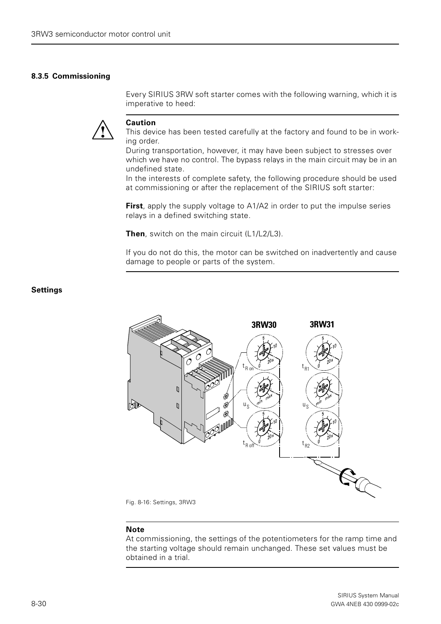#### <span id="page-29-0"></span>**8.3.5 Commissioning**

Every SIRIUS 3RW soft starter comes with the following warning, which it is imperative to heed:



#### **Caution**

This device has been tested carefully at the factory and found to be in working order.

During transportation, however, it may have been subject to stresses over which we have no control. The bypass relays in the main circuit may be in an undefined state.

In the interests of complete safety, the following procedure should be used at commissioning or after the replacement of the SIRIUS soft starter:

**First**, apply the supply voltage to A1/A2 in order to put the impulse series relays in a defined switching state.

**Then**, switch on the main circuit (L1/L2/L3).

If you do not do this, the motor can be switched on inadvertently and cause damage to people or parts of the system.





Fig. 8-16: Settings, 3RW3

#### **Note**

At commissioning, the settings of the potentiometers for the ramp time and the starting voltage should remain unchanged. These set values must be obtained in a trial.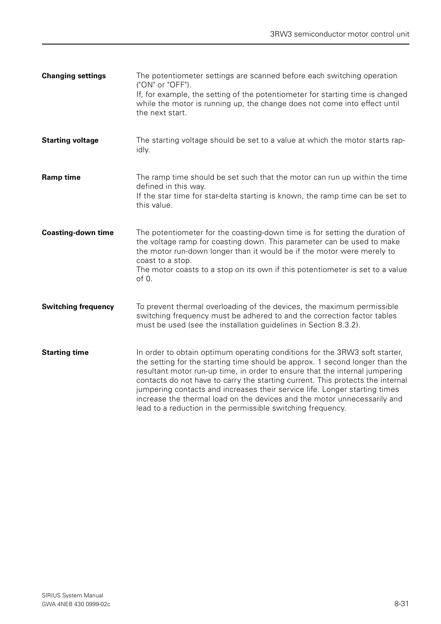| <b>Changing settings</b>   | The potentiometer settings are scanned before each switching operation<br>("ON" or "OFF").<br>If, for example, the setting of the potentiometer for starting time is changed<br>while the motor is running up, the change does not come into effect until<br>the next start.                                                                                                                                                                                                                                                                         |
|----------------------------|------------------------------------------------------------------------------------------------------------------------------------------------------------------------------------------------------------------------------------------------------------------------------------------------------------------------------------------------------------------------------------------------------------------------------------------------------------------------------------------------------------------------------------------------------|
| <b>Starting voltage</b>    | The starting voltage should be set to a value at which the motor starts rap-<br>idly.                                                                                                                                                                                                                                                                                                                                                                                                                                                                |
| <b>Ramp time</b>           | The ramp time should be set such that the motor can run up within the time<br>defined in this way.<br>If the star time for star-delta starting is known, the ramp time can be set to<br>this value.                                                                                                                                                                                                                                                                                                                                                  |
| <b>Coasting-down time</b>  | The potentiometer for the coasting-down time is for setting the duration of<br>the voltage ramp for coasting down. This parameter can be used to make<br>the motor run-down longer than it would be if the motor were merely to<br>coast to a stop.<br>The motor coasts to a stop on its own if this potentiometer is set to a value<br>of 0.                                                                                                                                                                                                        |
| <b>Switching frequency</b> | To prevent thermal overloading of the devices, the maximum permissible<br>switching frequency must be adhered to and the correction factor tables<br>must be used (see the installation guidelines in Section 8.3.2).                                                                                                                                                                                                                                                                                                                                |
| <b>Starting time</b>       | In order to obtain optimum operating conditions for the 3RW3 soft starter,<br>the setting for the starting time should be approx. 1 second longer than the<br>resultant motor run-up time, in order to ensure that the internal jumpering<br>contacts do not have to carry the starting current. This protects the internal<br>jumpering contacts and increases their service life. Longer starting times<br>increase the thermal load on the devices and the motor unnecessarily and<br>lead to a reduction in the permissible switching frequency. |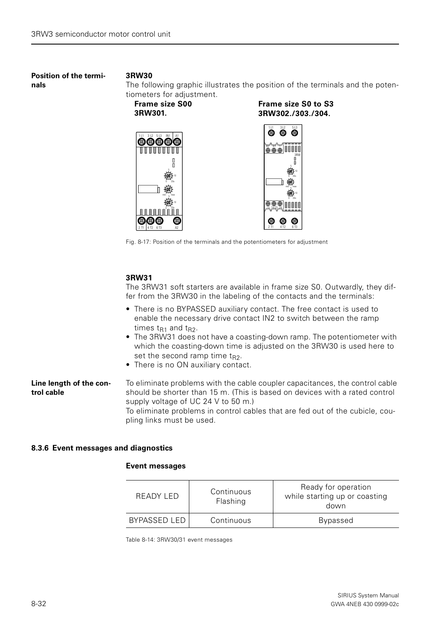**Position of the terminals**

#### **3RW30**

The following graphic illustrates the position of the terminals and the potentiometers for adjustment.

> **Frame size S0 to S3 3RW302./303./304.**

**Frame size S00 3RW301.**



Fig. 8-17: Position of the terminals and the potentiometers for adjustment

#### **3RW31**

The 3RW31 soft starters are available in frame size S0. Outwardly, they differ from the 3RW30 in the labeling of the contacts and the terminals:

- There is no BYPASSED auxiliary contact. The free contact is used to enable the necessary drive contact IN2 to switch between the ramp times  $t_{R1}$  and  $t_{R2}$ .
- The 3RW31 does not have a coasting-down ramp. The potentiometer with which the coasting-down time is adjusted on the 3RW30 is used here to set the second ramp time  $t_{R2}$ .
- There is no ON auxiliary contact.

#### **Line length of the control cable** To eliminate problems with the cable coupler capacitances, the control cable should be shorter than 15 m. (This is based on devices with a rated control supply voltage of UC 24 V to 50 m.)

To eliminate problems in control cables that are fed out of the cubicle, coupling links must be used.

#### <span id="page-31-0"></span>**8.3.6 Event messages and diagnostics**

#### **Event messages**

| READY LED    | Continuous<br>Flashing | Ready for operation<br>while starting up or coasting<br>down |
|--------------|------------------------|--------------------------------------------------------------|
| BYPASSED LED | Continuous             | <b>Bypassed</b>                                              |

Table 8-14: 3RW30/31 event messages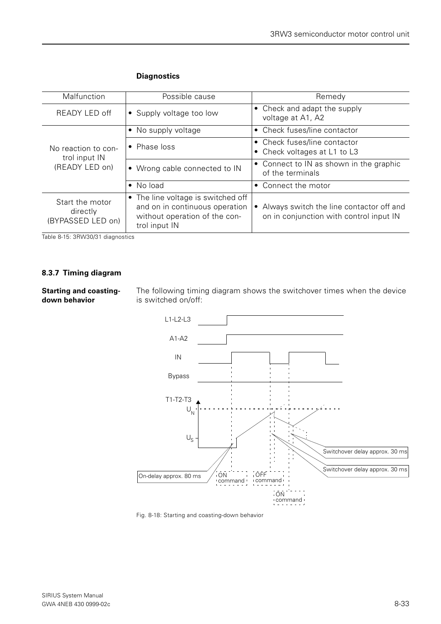| Malfunction                                      | Possible cause                                                                                                         | Remedy                                                                              |
|--------------------------------------------------|------------------------------------------------------------------------------------------------------------------------|-------------------------------------------------------------------------------------|
| READY LED off                                    | • Supply voltage too low                                                                                               | • Check and adapt the supply<br>voltage at A1, A2                                   |
|                                                  | • No supply voltage                                                                                                    | • Check fuses/line contactor                                                        |
| No reaction to con-<br>trol input IN             | • Phase loss                                                                                                           | • Check fuses/line contactor<br>• Check voltages at L1 to L3                        |
| (READY LED on)                                   | • Wrong cable connected to IN                                                                                          | • Connect to IN as shown in the graphic<br>of the terminals                         |
|                                                  | • No load                                                                                                              | • Connect the motor                                                                 |
| Start the motor<br>directly<br>(BYPASSED LED on) | • The line voltage is switched off<br>and on in continuous operation<br>without operation of the con-<br>trol input IN | Always switch the line contactor off and<br>on in conjunction with control input IN |

### **Diagnostics**

Table 8-15: 3RW30/31 diagnostics

### <span id="page-32-0"></span>**8.3.7 Timing diagram**

**Starting and coastingdown behavior**

The following timing diagram shows the switchover times when the device is switched on/off:



Fig. 8-18: Starting and coasting-down behavior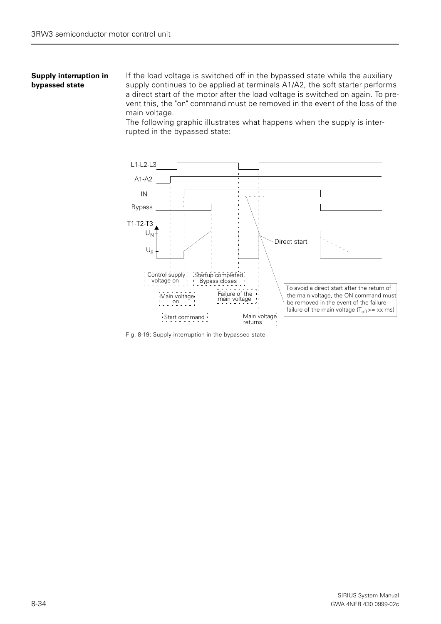#### **Supply interruption in bypassed state**

If the load voltage is switched off in the bypassed state while the auxiliary supply continues to be applied at terminals A1/A2, the soft starter performs a direct start of the motor after the load voltage is switched on again. To prevent this, the "on" command must be removed in the event of the loss of the main voltage.

The following graphic illustrates what happens when the supply is interrupted in the bypassed state:



Fig. 8-19: Supply interruption in the bypassed state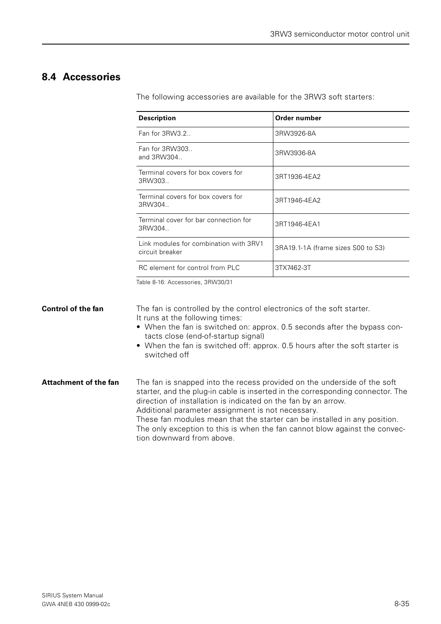# <span id="page-34-0"></span>**8.4 Accessories**

The following accessories are available for the 3RW3 soft starters:

| <b>Description</b>                                        | Order number                       |
|-----------------------------------------------------------|------------------------------------|
| Fan for 3RW3.2.                                           | 3RW3926-8A                         |
| Fan for 3RW303<br>and $3$ RW $304$                        | 3RW3936-8A                         |
| Terminal covers for box covers for<br>3RW303.             | 3RT1936-4EA2                       |
| Terminal covers for box covers for<br>3RW304.             | 3RT1946-4EA2                       |
| Terminal cover for bar connection for<br>3RW304.          | 3RT1946-4EA1                       |
| Link modules for combination with 3RV1<br>circuit breaker | 3RA19.1-1A (frame sizes S00 to S3) |
| RC element for control from PLC                           | 3TX7462-3T                         |

Table 8-16: Accessories, 3RW30/31

**Control of the fan** The fan is controlled by the control electronics of the soft starter. It runs at the following times: • When the fan is switched on: approx. 0.5 seconds after the bypass contacts close (end-of-startup signal) • When the fan is switched off: approx. 0.5 hours after the soft starter is switched off **Attachment of the fan** The fan is snapped into the recess provided on the underside of the soft starter, and the plug-in cable is inserted in the corresponding connector. The direction of installation is indicated on the fan by an arrow. Additional parameter assignment is not necessary. These fan modules mean that the starter can be installed in any position. The only exception to this is when the fan cannot blow against the convection downward from above.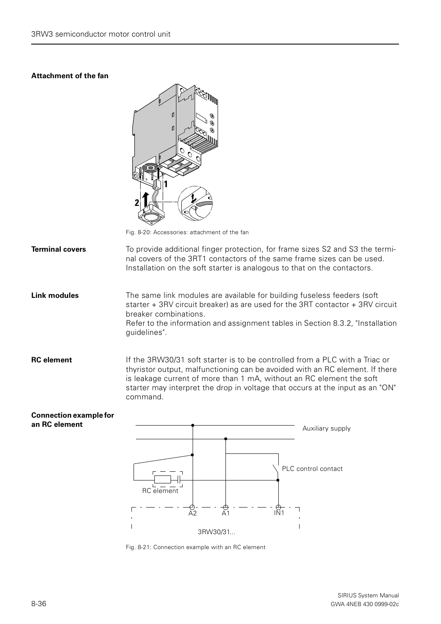### **Attachment of the fan**

**Connection example for** 

**an RC element**



Fig. 8-20: Accessories: attachment of the fan

**Terminal covers** To provide additional finger protection, for frame sizes S2 and S3 the terminal covers of the 3RT1 contactors of the same frame sizes can be used. Installation on the soft starter is analogous to that on the contactors.

**Link modules** The same link modules are available for building fuseless feeders (soft starter + 3RV circuit breaker) as are used for the 3RT contactor + 3RV circuit breaker combinations.

Refer to the information and assignment tables in Section 8.3.2, "Installation guidelines".

**RC element** If the 3RW30/31 soft starter is to be controlled from a PLC with a Triac or thyristor output, malfunctioning can be avoided with an RC element. If there is leakage current of more than 1 mA, without an RC element the soft starter may interpret the drop in voltage that occurs at the input as an "ON" command.

# A2 A1 IN1 Auxiliary supply PLC control contact RC element 3RW30/31...

Fig. 8-21: Connection example with an RC element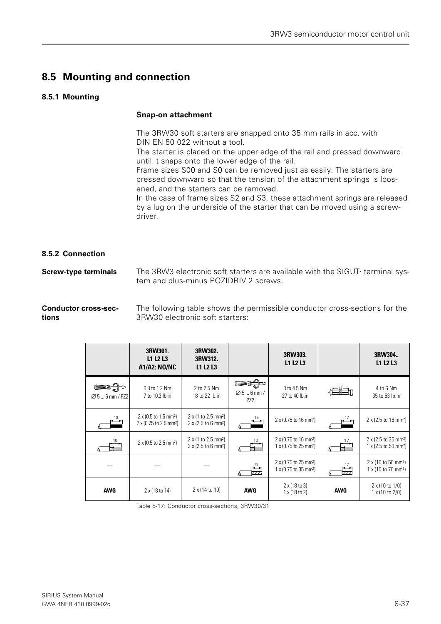# <span id="page-36-0"></span>**8.5 Mounting and connection**

### <span id="page-36-1"></span>**8.5.1 Mounting**

#### **Snap-on attachment**

The 3RW30 soft starters are snapped onto 35 mm rails in acc. with DIN EN 50 022 without a tool.

The starter is placed on the upper edge of the rail and pressed downward until it snaps onto the lower edge of the rail.

Frame sizes S00 and S0 can be removed just as easily: The starters are pressed downward so that the tension of the attachment springs is loosened, and the starters can be removed.

In the case of frame sizes S2 and S3, these attachment springs are released by a lug on the underside of the starter that can be moved using a screwdriver.

#### <span id="page-36-2"></span>**8.5.2 Connection**

**Screw-type terminals** The 3RW3 electronic soft starters are available with the SIGUT<sup>,</sup> terminal system and plus-minus POZIDRIV 2 screws.

**Conductor cross-sections** The following table shows the permissible conductor cross-sections for the 3RW30 electronic soft starters:

|                             | 3RW301.<br>L1 L2 L3<br><b>A1/A2; NO/NC</b>                                          | 3RW302.<br>3RW312.<br>L1 L2 L3                                                             |                                         | 3RW303.<br>L1 L2 L3                                                                |               | 3RW304<br>L1 L2 L3                                                                           |
|-----------------------------|-------------------------------------------------------------------------------------|--------------------------------------------------------------------------------------------|-----------------------------------------|------------------------------------------------------------------------------------|---------------|----------------------------------------------------------------------------------------------|
| $\varnothing$ 5  6 mm / PZ2 | 0.8 to 1.2 Nm<br>7 to 10.3 lb.in                                                    | 2 to 2.5 Nm<br>18 to 22 lb.in                                                              | $\varnothing$ 56 mm/<br>PZ <sub>2</sub> | 3 to 4.5 Nm<br>27 to 40 lb.in                                                      | min<br>$-22$  | 4 to 6 Nm<br>35 to 53 lb.in                                                                  |
|                             | $2 \times (0.5 \text{ to } 1.5 \text{ mm}^2)$<br>2 x (0.75 to 2.5 mm <sup>2</sup> ) | $2 \times (1 \text{ to } 2.5 \text{ mm}^2)$<br>$2 \times (2.5 \text{ to } 6 \text{ mm}^2)$ | 13                                      | $2 \times (0.75 \text{ to } 16 \text{ mm}^2)$                                      |               | $2 \times (2.5 \text{ to } 16 \text{ mm}^2)$                                                 |
|                             | $2 \times (0.5 \text{ to } 2.5 \text{ mm}^2)$                                       | $2 \times (1 \text{ to } 2.5 \text{ mm}^2)$<br>$2 \times (2.5 \text{ to } 6 \text{ mm}^2)$ |                                         | 2 x (0.75 to 16 mm <sup>2</sup> )<br>1 x (0.75 to 25 mm <sup>2</sup> )             |               | $2 \times (2.5 \text{ to } 35 \text{ mm}^2)$<br>$1 \times (2.5 \text{ to } 50 \text{ mm}^2)$ |
|                             |                                                                                     |                                                                                            | 13<br>777.                              | 2 x (0.75 to 25 mm <sup>2</sup> )<br>$1 \times (0.75 \text{ to } 35 \text{ mm}^2)$ | 17<br>↞<br>ZZ | $2 \times (10 \text{ to } 50 \text{ mm}^2)$<br>$1 \times (10 \text{ to } 70 \text{ mm}^2)$   |
| <b>AWG</b>                  | $2 \times (18 \text{ to } 14)$                                                      | 2 x (14 to 10)                                                                             | <b>AWG</b>                              | $2 \times (18 \text{ to } 3)$<br>$1 \times (18 \text{ to } 2)$                     | <b>AWG</b>    | 2 x (10 to 1/0)<br>1 x (10 to 2/0)                                                           |

Table 8-17: Conductor cross-sections, 3RW30/31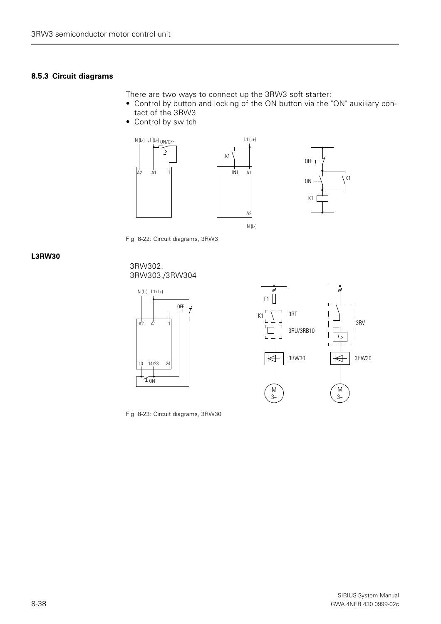#### <span id="page-37-0"></span>**8.5.3 Circuit diagrams**

There are two ways to connect up the 3RW3 soft starter:

- Control by button and locking of the ON button via the "ON" auxiliary contact of the 3RW3
- Control by switch



Fig. 8-22: Circuit diagrams, 3RW3

#### **L3RW30**

#### 3RW302. 3RW303./3RW304





Fig. 8-23: Circuit diagrams, 3RW30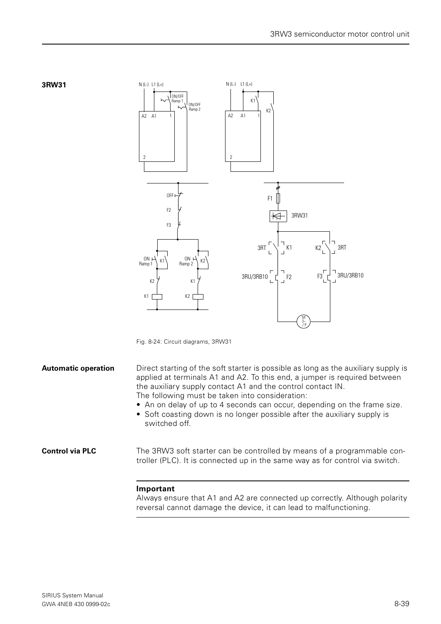



**3RW31**

**Automatic operation** Direct starting of the soft starter is possible as long as the auxiliary supply is applied at terminals A1 and A2. To this end, a jumper is required between the auxiliary supply contact A1 and the control contact IN. The following must be taken into consideration:

- An on delay of up to 4 seconds can occur, depending on the frame size.
- Soft coasting down is no longer possible after the auxiliary supply is switched off.

**Control via PLC** The 3RW3 soft starter can be controlled by means of a programmable controller (PLC). It is connected up in the same way as for control via switch.

#### **Important**

Always ensure that A1 and A2 are connected up correctly. Although polarity reversal cannot damage the device, it can lead to malfunctioning.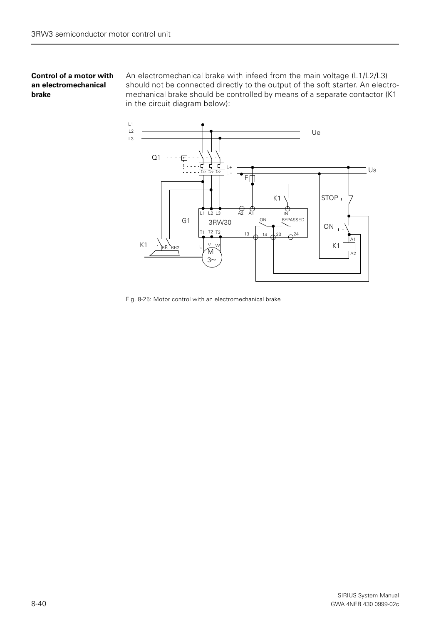#### **Control of a motor with an electromechanical brake**

An electromechanical brake with infeed from the main voltage (L1/L2/L3) should not be connected directly to the output of the soft starter. An electromechanical brake should be controlled by means of a separate contactor (K1 in the circuit diagram below):



Fig. 8-25: Motor control with an electromechanical brake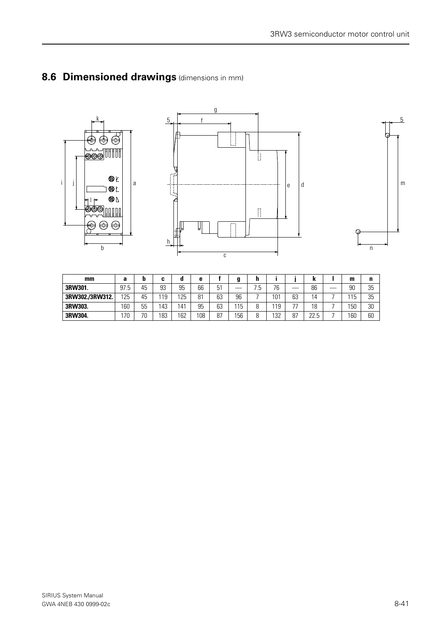

<span id="page-40-0"></span>





5

| mm              | а    |          | u    |     | е   |    |     |         |     |            |             | m          | n  |
|-----------------|------|----------|------|-----|-----|----|-----|---------|-----|------------|-------------|------------|----|
| 3RW301.         | 97.5 | 45       | 93   | 95  | 66  | 51 |     | h<br>ن. | 76  |            | 86          | 90         | 35 |
| 3RW302./3RW312. | 125  | 45       | l 19 | 125 | 81  | 63 | 96  |         | 101 | 63         | 4           | 11E<br>ل ا | 35 |
| 3RW303.         | 160  | 55       | ,43  | 41  | 95  | 63 | 115 | n       | 119 | $\neg\neg$ | 18          | 150        | 30 |
| 3RW304.         | 70   | 7٨<br>็∪ | 183  | 162 | 108 | 87 | 156 | Զ       | 132 | 87         | nn<br>ے ۔ ے | 160        | 60 |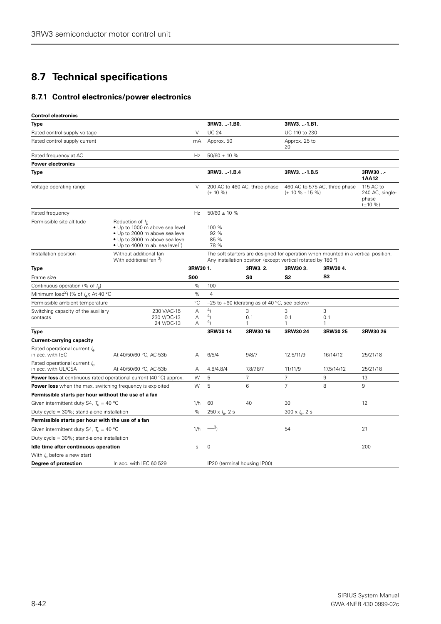# <span id="page-41-0"></span>**8.7 Technical specifications**

## <span id="page-41-1"></span>**8.7.1 Control electronics/power electronics**

| <b>Control electronics</b>                                                |                                                                                                                                                                         |             |                                        |                                                              |                              |                                                                                   |                                                        |
|---------------------------------------------------------------------------|-------------------------------------------------------------------------------------------------------------------------------------------------------------------------|-------------|----------------------------------------|--------------------------------------------------------------|------------------------------|-----------------------------------------------------------------------------------|--------------------------------------------------------|
| Type                                                                      |                                                                                                                                                                         |             | 3RW3.  - 1.BO.                         |                                                              | 3RW3-1.B1.                   |                                                                                   |                                                        |
| Rated control supply voltage                                              |                                                                                                                                                                         | $\vee$      | <b>UC 24</b>                           |                                                              | UC 110 to 230                |                                                                                   |                                                        |
| Rated control supply current                                              |                                                                                                                                                                         | mA          | Approx. 50                             |                                                              | Approx. 25 to<br>20          |                                                                                   |                                                        |
| Rated frequency at AC                                                     |                                                                                                                                                                         | Hz          | $50/60 \pm 10 %$                       |                                                              |                              |                                                                                   |                                                        |
| <b>Power electronics</b>                                                  |                                                                                                                                                                         |             |                                        |                                                              |                              |                                                                                   |                                                        |
| Type                                                                      |                                                                                                                                                                         |             | 3RW3.  1.B.4                           |                                                              | 3RW3-1.B.5                   |                                                                                   | 3RW30<br><b>1AA12</b>                                  |
| Voltage operating range                                                   |                                                                                                                                                                         | $\vee$      | $(\pm 10 \%)$                          | 200 AC to 460 AC, three-phase                                | $(\pm 10 \% - 15 \% )$       | 460 AC to 575 AC, three phase                                                     | 115 AC to<br>240 AC, single-<br>phase<br>$(\pm 10 \%)$ |
| Rated frequency                                                           |                                                                                                                                                                         | Hz          | $50/60 \pm 10 %$                       |                                                              |                              |                                                                                   |                                                        |
| Permissible site altitude                                                 | Reduction of $I_F$<br>· Up to 1000 m above sea level<br>. Up to 2000 m above sea level<br>. Up to 3000 m above sea level<br>• Up to 4000 m ab. sea level <sup>1</sup> ) |             | 100 %<br>92 %<br>85 %<br>78 %          |                                                              |                              |                                                                                   |                                                        |
| Installation position                                                     | Without additional fan<br>With additional fan <sup>3</sup> )                                                                                                            |             |                                        | Any installation position (except vertical rotated by 180 °) |                              | The soft starters are designed for operation when mounted in a vertical position. |                                                        |
| Type                                                                      |                                                                                                                                                                         | 3RW30 1.    |                                        | 3RW3.2.                                                      | 3RW303.                      | 3RW30 4.                                                                          |                                                        |
| Frame size                                                                |                                                                                                                                                                         | <b>S00</b>  |                                        | S0                                                           | S <sub>2</sub>               | S3                                                                                |                                                        |
| Continuous operation (% of $I_{\alpha}$ )                                 |                                                                                                                                                                         | %           | 100                                    |                                                              |                              |                                                                                   |                                                        |
| Minimum load <sup>2</sup> ) (% of $I_{\alpha}$ ); At 40 °C                |                                                                                                                                                                         | %           | $\overline{4}$                         |                                                              |                              |                                                                                   |                                                        |
| Permissible ambient temperature                                           |                                                                                                                                                                         | $^{\circ}C$ |                                        | $-25$ to $+60$ (derating as of 40 °C, see below)             |                              |                                                                                   |                                                        |
| Switching capacity of the auxiliary<br>contacts                           | 230 V/AC-15<br>230 V/DC-13<br>24 V/DC-13                                                                                                                                | Α<br>Α<br>Α | 4 <sub>1</sub><br>4 <sub>1</sub><br>4) | 3<br>0.1<br>1                                                | 3<br>0.1<br>1                | 3<br>0.1<br>1                                                                     |                                                        |
| Type                                                                      |                                                                                                                                                                         |             | 3RW30 14                               | 3RW30 16                                                     | 3RW3024                      | 3RW30 25                                                                          | 3RW30 26                                               |
| <b>Current-carrying capacity</b>                                          |                                                                                                                                                                         |             |                                        |                                                              |                              |                                                                                   |                                                        |
| Rated operational current $I_{\rm e}$<br>in acc. with IEC                 | At 40/50/60 °C, AC-53b                                                                                                                                                  | А           | 6/5/4                                  | 9/8/7                                                        | 12.5/11/9                    | 16/14/12                                                                          | 25/21/18                                               |
| Rated operational current $I_{\rm e}$<br>in acc. with UL/CSA              | At 40/50/60 °C, AC-53b                                                                                                                                                  | A           | 4.8/4.8/4                              | 7.8/7.8/7                                                    | 11/11/9                      | 17.5/14/12                                                                        | 25/21/18                                               |
| <b>Power loss</b> at continuous rated operational current (40 °C) approx. |                                                                                                                                                                         | W           | 5                                      | $\overline{7}$                                               | $\overline{7}$               | 9                                                                                 | 13                                                     |
| <b>Power loss</b> when the max. switching frequency is exploited          |                                                                                                                                                                         | W           | 5                                      | 6                                                            | $\overline{7}$               | 8                                                                                 | 9                                                      |
| Permissible starts per hour without the use of a fan                      |                                                                                                                                                                         |             |                                        |                                                              |                              |                                                                                   |                                                        |
| Given intermittent duty S4, $T_u = 40 °C$                                 |                                                                                                                                                                         | 1/h         | 60                                     | 40                                                           | 30                           |                                                                                   | 12                                                     |
| Duty cycle = 30%; stand-alone installation                                |                                                                                                                                                                         | %           | $250 \times I_{\rm e}$ , 2 s           |                                                              | $300 \times I_{\rm e}$ , 2 s |                                                                                   |                                                        |
| Permissible starts per hour with the use of a fan                         |                                                                                                                                                                         |             |                                        |                                                              |                              |                                                                                   |                                                        |
| Given intermittent duty S4, $T_{\text{u}} = 40 \text{ °C}$                |                                                                                                                                                                         | 1/h         | $-3$                                   |                                                              | 54                           |                                                                                   | 21                                                     |
| Duty cycle = 30%; stand-alone installation                                |                                                                                                                                                                         |             |                                        |                                                              |                              |                                                                                   |                                                        |
| Idle time after continuous operation                                      |                                                                                                                                                                         | S           | 0                                      |                                                              |                              |                                                                                   | 200                                                    |
| With $I_{\rm e}$ before a new start                                       |                                                                                                                                                                         |             |                                        |                                                              |                              |                                                                                   |                                                        |
| Degree of protection                                                      | In acc. with IEC 60 529                                                                                                                                                 |             | IP20 (terminal housing IP00)           |                                                              |                              |                                                                                   |                                                        |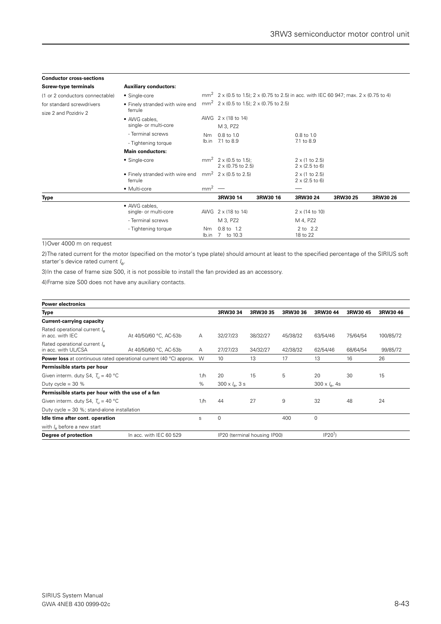| <b>Conductor cross-sections</b>                    |                                            |                 |                                                      |          |                                                                                                   |          |          |
|----------------------------------------------------|--------------------------------------------|-----------------|------------------------------------------------------|----------|---------------------------------------------------------------------------------------------------|----------|----------|
| <b>Screw-type terminals</b>                        | <b>Auxiliary conductors:</b>               |                 |                                                      |          |                                                                                                   |          |          |
| (1 or 2 conductors connectable)                    | • Single-core                              |                 |                                                      |          | mm <sup>2</sup> 2 x (0.5 to 1.5); 2 x (0.75 to 2.5) in acc. with IEC 60 947; max. 2 x (0.75 to 4) |          |          |
| for standard screwdrivers<br>size 2 and Pozidriv 2 | • Finely stranded with wire end<br>ferrule |                 | mm <sup>2</sup> 2 x (0.5 to 1.5); 2 x (0.75 to 2.5)  |          |                                                                                                   |          |          |
|                                                    | • AWG cables,                              |                 | AWG 2 x (18 to 14)                                   |          |                                                                                                   |          |          |
|                                                    | single- or multi-core                      |                 | M 3, PZ2                                             |          |                                                                                                   |          |          |
|                                                    | - Terminal screws                          | N <sub>m</sub>  | $0.8$ to 1.0                                         |          | $0.8$ to $1.0$                                                                                    |          |          |
|                                                    | - Tightening torque                        | lb.in           | 7.1 to 8.9                                           |          | 7.1 to 8.9                                                                                        |          |          |
|                                                    | <b>Main conductors:</b>                    |                 |                                                      |          |                                                                                                   |          |          |
|                                                    | • Single-core                              |                 | $mm^2$ 2 x (0.5 to 1.5):<br>$2 \times (0.75$ to 2.5) |          | $2 \times (1 \text{ to } 2.5)$<br>$2 \times (2.5 \text{ to } 6)$                                  |          |          |
|                                                    | • Finely stranded with wire end<br>ferrule |                 | $mm2$ 2 x (0.5 to 2.5)                               |          | $2 \times (1 \text{ to } 2.5)$<br>$2 \times (2.5 \text{ to } 6)$                                  |          |          |
|                                                    | • Multi-core                               | mm <sup>2</sup> |                                                      |          |                                                                                                   |          |          |
| Type                                               |                                            |                 | 3RW30 14                                             | 3RW30 16 | 3RW3024                                                                                           | 3RW30 25 | 3RW30 26 |
|                                                    | • AWG cables,<br>single- or multi-core     |                 | AWG 2 x (18 to 14)                                   |          | $2 \times (14$ to 10)                                                                             |          |          |
|                                                    | - Terminal screws                          |                 | M 3, PZ2                                             |          | M 4, PZ2                                                                                          |          |          |
|                                                    | - Tightening torque                        | Nm.<br>lb.in    | 0.8 to 1.2<br>7 to 10.3                              |          | 2 to 2.2<br>18 to 22                                                                              |          |          |

1)Over 4000 m on request

2)The rated current for the motor (specified on the motor's type plate) should amount at least to the specified percentage of the SIRIUS soft starter's device rated current *I<sub>e</sub>*.

3)In the case of frame size S00, it is not possible to install the fan provided as an accessory.

4)Frame size S00 does not have any auxiliary contacts.

| <b>Power electronics</b>                                                  |                         |     |                              |                              |          |                             |          |           |
|---------------------------------------------------------------------------|-------------------------|-----|------------------------------|------------------------------|----------|-----------------------------|----------|-----------|
| Type                                                                      |                         |     | 3RW3034                      | 3RW3035                      | 3RW3036  | 3RW3044                     | 3RW30 45 | 3RW3046   |
| <b>Current-carrying capacity</b>                                          |                         |     |                              |                              |          |                             |          |           |
| Rated operational current /<br>in acc. with IEC                           | At 40/50/60 °C, AC-53b  | A   | 32/27/23                     | 38/32/27                     | 45/38/32 | 63/54/46                    | 75/64/54 | 100/85/72 |
| Rated operational current /<br>in acc. with UL/CSA                        | At 40/50/60 °C, AC-53b  | A   | 27/27/23                     | 34/32/27                     | 42/38/32 | 62/54/46                    | 68/64/54 | 99/85/72  |
| <b>Power loss</b> at continuous rated operational current (40 °C) approx. |                         | W   | 10                           | 13                           | 17       | 13                          | 16       | 26        |
| Permissible starts per hour                                               |                         |     |                              |                              |          |                             |          |           |
| Given interm. duty S4, $T_{1} = 40$ °C                                    |                         | 1/h | 20                           | 15                           | 5        | 20                          | 30       | 15        |
| Duty cycle = $30\%$                                                       |                         | %   | $300 \times I_{\rm e}$ , 3 s |                              |          | $300 \times I_{\rm e}$ , 4s |          |           |
| Permissible starts per hour with the use of a fan                         |                         |     |                              |                              |          |                             |          |           |
| Given interm. duty S4, $T_{\text{u}} = 40 \text{ °C}$                     |                         | 1/h | 44                           | 27                           | 9        | 32                          | 48       | 24        |
| Duty cycle = $30\%$ ; stand-alone installation                            |                         |     |                              |                              |          |                             |          |           |
| Idle time after cont. operation                                           |                         | S   | $\mathbf 0$                  |                              | 400      | 0                           |          |           |
| with $I_{\rm e}$ before a new start                                       |                         |     |                              |                              |          |                             |          |           |
| Degree of protection                                                      | In acc. with IEC 60 529 |     |                              | IP20 (terminal housing IP00) |          | IP20 <sup>1</sup>           |          |           |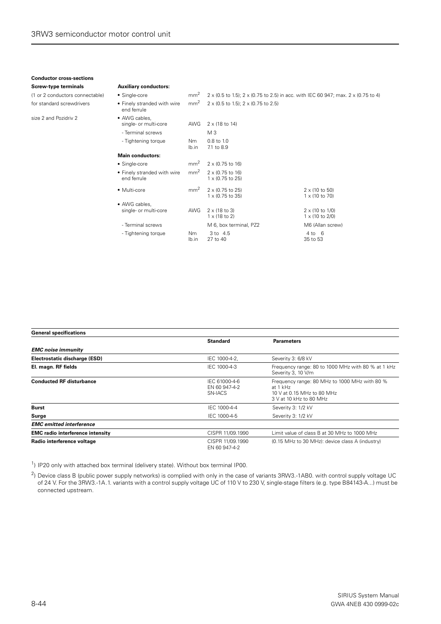#### **Conductor cross-sections Screw-type terminals Auxiliary conductors:**

- Tightening torque Nm

lb.in

| (1 or 2 conductors connectable) | • Single-core                              | mm <sup>2</sup> |                                                                      | 2 x (0.5 to 1.5); 2 x (0.75 to 2.5) in acc. with IEC 60 947; max. 2 x (0.75 to 4) |
|---------------------------------|--------------------------------------------|-----------------|----------------------------------------------------------------------|-----------------------------------------------------------------------------------|
| for standard screwdrivers       | • Finely stranded with wire<br>end ferrule | mm <sup>2</sup> | $2 \times (0.5 \text{ to } 1.5)$ ; $2 \times (0.75 \text{ to } 2.5)$ |                                                                                   |
| size 2 and Pozidriy 2           | • AWG cables,<br>single- or multi-core     | AWG             | $2 \times (18 \text{ to } 14)$                                       |                                                                                   |
|                                 | - Terminal screws                          |                 | M 3                                                                  |                                                                                   |
|                                 | - Tightening torque                        | Nm.<br>lb.in    | $0.8$ to $1.0$<br>7.1 to 8.9                                         |                                                                                   |
|                                 | <b>Main conductors:</b>                    |                 |                                                                      |                                                                                   |
|                                 | • Single-core                              | mm <sup>2</sup> | $2 \times (0.75$ to 16)                                              |                                                                                   |
|                                 | • Finely stranded with wire<br>end ferrule | mm <sup>2</sup> | $2 \times (0.75$ to 16)<br>$1 \times (0.75$ to 25)                   |                                                                                   |
|                                 | • Multi-core                               | mm <sup>2</sup> | 2 x (0.75 to 25)<br>$1 \times (0.75$ to 35)                          | $2 \times (10 \text{ to } 50)$<br>$1 \times (10 \text{ to } 70)$                  |
|                                 | • AWG cables.                              |                 |                                                                      |                                                                                   |
|                                 | single- or multi-core                      | AWG             | $2 \times (18 \text{ to } 3)$<br>$1 \times (18 \text{ to } 2)$       | $2 \times (10 \text{ to } 1/0)$<br>$1 \times (10 \text{ to } 2/0)$                |
|                                 | - Terminal screws                          |                 | M 6, box terminal, PZ2                                               | M6 (Allan screw)                                                                  |

3 to 4.5 27 to 40

4 to 6 35 to 53

| <b>General specifications</b>           |                                           |                                                                                                                    |
|-----------------------------------------|-------------------------------------------|--------------------------------------------------------------------------------------------------------------------|
|                                         | <b>Standard</b>                           | <b>Parameters</b>                                                                                                  |
| <b>EMC</b> noise immunity               |                                           |                                                                                                                    |
| Electrostatic discharge (ESD)           | IEC 1000-4-2.                             | Severity 3: 6/8 kV                                                                                                 |
| El. magn. RF fields                     | IEC 1000-4-3                              | Frequency range: 80 to 1000 MHz with 80 % at 1 kHz<br>Severity 3, 10 V/m                                           |
| <b>Conducted RF disturbance</b>         | IEC 61000-4-6<br>EN 60 947-4-2<br>SN-IACS | Frequency range: 80 MHz to 1000 MHz with 80 %<br>at 1 kHz<br>10 V at 0.15 MHz to 80 MHz<br>3 V at 10 kHz to 80 MHz |
| <b>Burst</b>                            | IEC 1000-4-4                              | Severity 3: 1/2 kV                                                                                                 |
| Surge                                   | IEC 1000-4-5                              | Severity 3: 1/2 kV                                                                                                 |
| <b>EMC</b> emitted interference         |                                           |                                                                                                                    |
| <b>EMC radio interference intensity</b> | CISPR 11/09.1990                          | Limit value of class B at 30 MHz to 1000 MHz                                                                       |
| Radio interference voltage              | CISPR 11/09.1990<br>EN 60 947-4-2         | (0.15 MHz to 30 MHz): device class A (industry)                                                                    |

<sup>1</sup>) IP20 only with attached box terminal (delivery state). Without box terminal IP00.

<sup>2</sup>) Device class B (public power supply networks) is complied with only in the case of variants 3RW3.-1AB0. with control supply voltage UC of 24 V. For the 3RW3.-1A.1. variants with a control supply voltage UC of 110 V to 230 V, single-stage filters (e.g. type B84143-A...) must be connected upstream.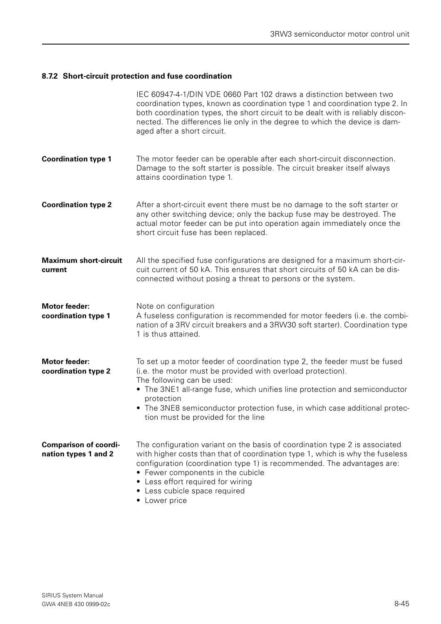### <span id="page-44-0"></span>**8.7.2 Short-circuit protection and fuse coordination**

|                                                      | IEC 60947-4-1/DIN VDE 0660 Part 102 draws a distinction between two<br>coordination types, known as coordination type 1 and coordination type 2. In<br>both coordination types, the short circuit to be dealt with is reliably discon-<br>nected. The differences lie only in the degree to which the device is dam-<br>aged after a short circuit.                                    |
|------------------------------------------------------|----------------------------------------------------------------------------------------------------------------------------------------------------------------------------------------------------------------------------------------------------------------------------------------------------------------------------------------------------------------------------------------|
| <b>Coordination type 1</b>                           | The motor feeder can be operable after each short-circuit disconnection.<br>Damage to the soft starter is possible. The circuit breaker itself always<br>attains coordination type 1.                                                                                                                                                                                                  |
| <b>Coordination type 2</b>                           | After a short-circuit event there must be no damage to the soft starter or<br>any other switching device; only the backup fuse may be destroyed. The<br>actual motor feeder can be put into operation again immediately once the<br>short circuit fuse has been replaced.                                                                                                              |
| <b>Maximum short-circuit</b><br>current              | All the specified fuse configurations are designed for a maximum short-cir-<br>cuit current of 50 kA. This ensures that short circuits of 50 kA can be dis-<br>connected without posing a threat to persons or the system.                                                                                                                                                             |
| <b>Motor feeder:</b><br>coordination type 1          | Note on configuration<br>A fuseless configuration is recommended for motor feeders (i.e. the combi-<br>nation of a 3RV circuit breakers and a 3RW30 soft starter). Coordination type<br>1 is thus attained.                                                                                                                                                                            |
| <b>Motor feeder:</b><br>coordination type 2          | To set up a motor feeder of coordination type 2, the feeder must be fused<br>(i.e. the motor must be provided with overload protection).<br>The following can be used:<br>• The 3NE1 all-range fuse, which unifies line protection and semiconductor<br>protection<br>• The 3NE8 semiconductor protection fuse, in which case additional protec-<br>tion must be provided for the line |
| <b>Comparison of coordi-</b><br>nation types 1 and 2 | The configuration variant on the basis of coordination type 2 is associated<br>with higher costs than that of coordination type 1, which is why the fuseless<br>configuration (coordination type 1) is recommended. The advantages are:<br>• Fewer components in the cubicle<br>Less effort required for wiring<br>Less cubicle space required<br>$\bullet$<br>Lower price             |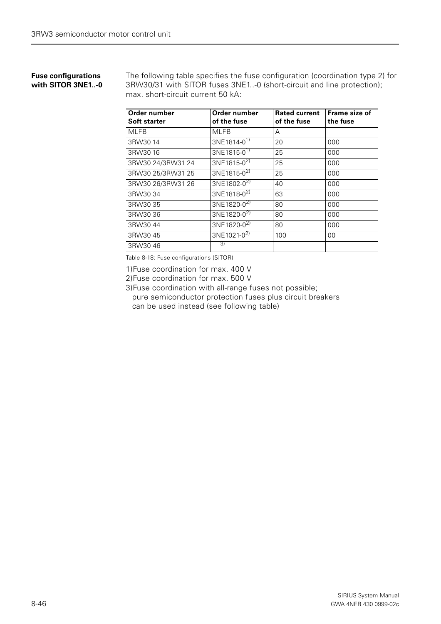#### **Fuse configurations with SITOR 3NE1..-0**

The following table specifies the fuse configuration (coordination type 2) for 3RW30/31 with SITOR fuses 3NE1..-0 (short-circuit and line protection); max. short-circuit current 50 kA:

| Order number<br><b>Soft starter</b> | Order number<br>of the fuse | <b>Rated current</b><br>of the fuse | Frame size of<br>the fuse |
|-------------------------------------|-----------------------------|-------------------------------------|---------------------------|
| <b>MLFB</b>                         | <b>MLFB</b>                 | A                                   |                           |
| 3RW3014                             | 3NE1814-0 <sup>1)</sup>     | 20                                  | 000                       |
| 3RW3016                             | 3NE1815-0 <sup>1)</sup>     | 25                                  | 000                       |
| 3RW30 24/3RW31 24                   | 3NE1815-0 <sup>2)</sup>     | 25                                  | 000                       |
| 3RW30 25/3RW31 25                   | 3NE1815-0 <sup>2)</sup>     | 25                                  | 000                       |
| 3RW30 26/3RW31 26                   | 3NE1802-0 <sup>2)</sup>     | 40                                  | 000                       |
| 3RW30 34                            | 3NE1818-0 <sup>2)</sup>     | 63                                  | 000                       |
| 3RW30 35                            | 3NE1820-0 <sup>2)</sup>     | 80                                  | 000                       |
| 3RW30 36                            | 3NE1820-0 <sup>2)</sup>     | 80                                  | 000                       |
| 3RW3044                             | 3NE1820-0 <sup>2)</sup>     | 80                                  | 000                       |
| 3RW3045                             | 3NE1021-0 <sup>2)</sup>     | 100                                 | 00                        |
| 3RW3046                             | $\left(3\right)$            |                                     |                           |

Table 8-18: Fuse configurations (SITOR)

1)Fuse coordination for max. 400 V

2)Fuse coordination for max. 500 V

3)Fuse coordination with all-range fuses not possible; pure semiconductor protection fuses plus circuit breakers can be used instead (see following table)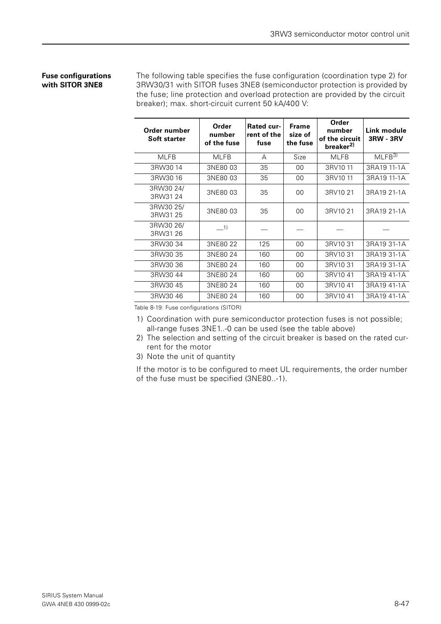### **Fuse configurations with SITOR 3NE8**

The following table specifies the fuse configuration (coordination type 2) for 3RW30/31 with SITOR fuses 3NE8 (semiconductor protection is provided by the fuse; line protection and overload protection are provided by the circuit breaker); max. short-circuit current 50 kA/400 V:

| Order number<br><b>Soft starter</b> | Order<br>number<br>of the fuse | <b>Rated cur-</b><br>rent of the<br>fuse | <b>Frame</b><br>size of<br>the fuse | Order<br>number<br>of the circuit<br>breaker <sup>2)</sup> | Link module<br><b>3RW - 3RV</b> |
|-------------------------------------|--------------------------------|------------------------------------------|-------------------------------------|------------------------------------------------------------|---------------------------------|
| <b>MLFB</b>                         | <b>MLFB</b>                    | A                                        | Size                                | <b>MLFB</b>                                                | MLEB <sup>3</sup>               |
| 3RW3014                             | 3NE80 03                       | 35                                       | 00                                  | 3RV1011                                                    | 3RA19 11-1A                     |
| 3RW3016                             | 3NE8003                        | 35                                       | 00                                  | 3RV1011                                                    | 3RA19 11-1A                     |
| 3RW30 24/<br>3RW31 24               | 3NE80 03                       | 35                                       | 00                                  | 3RV10 21                                                   | 3RA19 21-1A                     |
| 3RW30 25/<br>3RW31 25               | 3NE80 03                       | 35                                       | 00                                  | 3RV10 21                                                   | 3RA19 21-1A                     |
| 3RW30 26/<br>3RW31 26               | $-1)$                          |                                          |                                     |                                                            |                                 |
| 3RW30 34                            | 3NE80 22                       | 125                                      | 00                                  | 3RV10 31                                                   | 3RA19 31-1A                     |
| 3RW30 35                            | 3NE80 24                       | 160                                      | 00                                  | 3RV10 31                                                   | 3RA19 31-1A                     |
| 3RW30 36                            | 3NE80 24                       | 160                                      | 00                                  | 3RV10 31                                                   | 3RA19 31-1A                     |
| 3RW3044                             | 3NE80 24                       | 160                                      | 00                                  | 3RV1041                                                    | 3RA19 41-1A                     |
| 3RW3045                             | 3NE80 24                       | 160                                      | 00                                  | 3RV1041                                                    | 3RA19 41-1A                     |
| 3RW3046                             | 3NE80 24                       | 160                                      | 00                                  | 3RV1041                                                    | 3RA19 41-1A                     |

Table 8-19: Fuse configurations (SITOR)

- 1) Coordination with pure semiconductor protection fuses is not possible; all-range fuses 3NE1..-0 can be used (see the table above)
- 2) The selection and setting of the circuit breaker is based on the rated current for the motor
- 3) Note the unit of quantity

If the motor is to be configured to meet UL requirements, the order number of the fuse must be specified (3NE80..-1).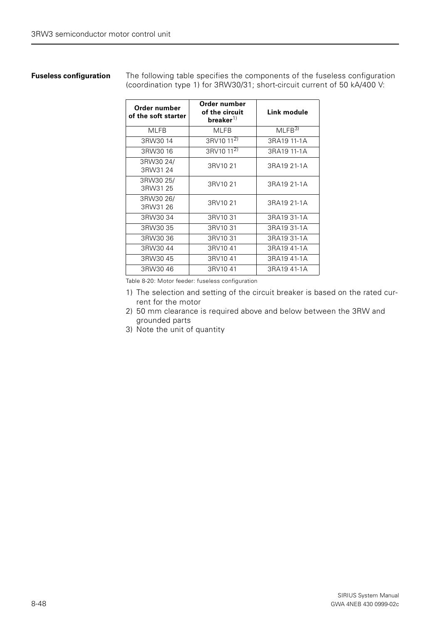**Fuseless configuration** The following table specifies the components of the fuseless configuration (coordination type 1) for 3RW30/31; short-circuit current of 50 kA/400 V:

| Order number<br>of the soft starter | Order number<br>of the circuit<br>breaker $^{1)}$ | Link module       |
|-------------------------------------|---------------------------------------------------|-------------------|
| <b>MLFB</b>                         | <b>MLFB</b>                                       | MLFB <sup>3</sup> |
| 3RW3014                             | 3RV10 11 <sup>2)</sup>                            | 3RA19 11-1A       |
| 3RW3016                             | 3RV10 11 <sup>2)</sup>                            | 3RA19 11-1A       |
| 3RW30 24/<br>3RW3124                | 3RV10 21                                          | 3RA19 21-1A       |
| 3RW30 25/<br>3RW31 25               | 3RV10 21                                          | 3RA19 21-1A       |
| 3RW30 26/<br>3RW31 26               | 3RV10 21                                          | 3RA19 21-1A       |
| 3RW3034                             | 3RV10 31                                          | 3RA19 31-1A       |
| 3RW30 35                            | 3RV10 31                                          | 3RA19 31-1A       |
| 3RW3036                             | 3RV10 31                                          | 3RA19 31-1A       |
| 3RW3044                             | 3RV1041                                           | 3RA19 41-1A       |
| 3RW3045                             | 3RV1041                                           | 3RA19 41-1A       |
| 3RW3046                             | 3RV1041                                           | 3RA19 41-1A       |

Table 8-20: Motor feeder: fuseless configuration

- 1) The selection and setting of the circuit breaker is based on the rated current for the motor
- 2) 50 mm clearance is required above and below between the 3RW and grounded parts
- 3) Note the unit of quantity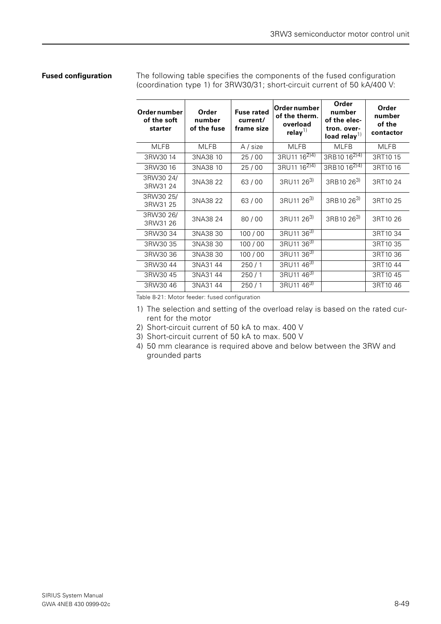#### **Fused configuration** The following table specifies the components of the fused configuration (coordination type 1) for 3RW30/31; short-circuit current of 50 kA/400 V:

| Order number<br>of the soft<br>starter | Order<br>number<br>of the fuse | <b>Fuse rated</b><br>current/<br>frame size | Order number<br>of the therm.<br>overload<br>relay $^{1)}$ | Order<br>number<br>of the elec-<br>tron. over-<br>load relay $^{1)}$ | Order<br>number<br>of the<br>contactor |
|----------------------------------------|--------------------------------|---------------------------------------------|------------------------------------------------------------|----------------------------------------------------------------------|----------------------------------------|
| <b>MLFB</b>                            | <b>MLFB</b>                    | A / size                                    | <b>MLFB</b>                                                | <b>MLFB</b>                                                          | <b>MLFB</b>                            |
| 3RW3014                                | 3NA38 10                       | 25/00                                       | 3RU11 16 <sup>2)4)</sup>                                   | 3RB10 16 <sup>2)4)</sup>                                             | 3RT1015                                |
| 3RW3016                                | 3NA38 10                       | 25/00                                       | 3RU11 16 <sup>2)4)</sup>                                   | 3RB10 16 <sup>2)4)</sup>                                             | 3RT1016                                |
| 3RW30 24/<br>3RW31 24                  | 3NA38 22                       | 63/00                                       | 3RU11 263)                                                 | 3RB10 26 <sup>3)</sup>                                               | 3RT10 24                               |
| 3RW30 25/<br>3RW31 25                  | 3NA38 22                       | 63/00                                       | 3RU11 26 <sup>3)</sup>                                     | 3RB10 26 <sup>3)</sup>                                               | 3RT10 25                               |
| 3RW30 26/<br>3RW31 26                  | 3NA38 24                       | 80/00                                       | 3RU11 263)                                                 | 3RB10 263)                                                           | 3RT10 26                               |
| 3RW30 34                               | 3NA3830                        | 100/00                                      | 3RU11 36 <sup>3)</sup>                                     |                                                                      | 3RT10 34                               |
| 3RW30 35                               | 3NA3830                        | 100/00                                      | 3RU11 36 <sup>3)</sup>                                     |                                                                      | 3RT10 35                               |
| 3RW30 36                               | 3NA3830                        | 100/00                                      | 3RU11 363)                                                 |                                                                      | 3RT10 36                               |
| 3RW3044                                | 3NA3144                        | 250/1                                       | 3RU11 463)                                                 |                                                                      | 3RT1044                                |
| 3RW3045                                | 3NA3144                        | 250/1                                       | 3RU11 463)                                                 |                                                                      | 3RT1045                                |
| 3RW3046                                | 3NA3144                        | 250/1                                       | 3RU11 463)                                                 |                                                                      | 3RT1046                                |

Table 8-21: Motor feeder: fused configuration

- 1) The selection and setting of the overload relay is based on the rated current for the motor
- 2) Short-circuit current of 50 kA to max. 400 V
- 3) Short-circuit current of 50 kA to max. 500 V
- 4) 50 mm clearance is required above and below between the 3RW and grounded parts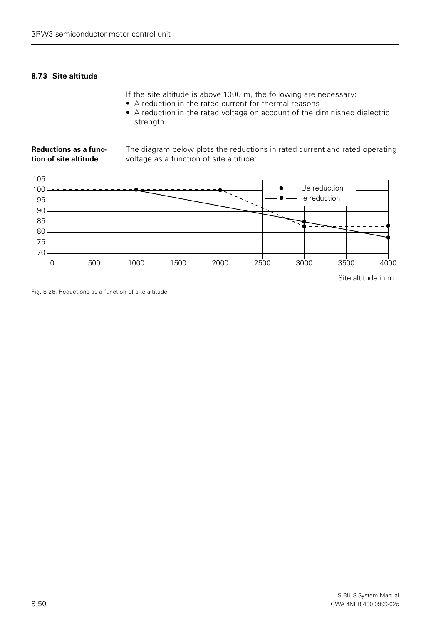### <span id="page-49-0"></span>**8.7.3 Site altitude**

If the site altitude is above 1000 m, the following are necessary:

- A reduction in the rated current for thermal reasons
- A reduction in the rated voltage on account of the diminished dielectric strength

#### **Reductions as a function of site altitude** The diagram below plots the reductions in rated current and rated operating voltage as a function of site altitude:



Site altitude in m

Fig. 8-26: Reductions as a function of site altitude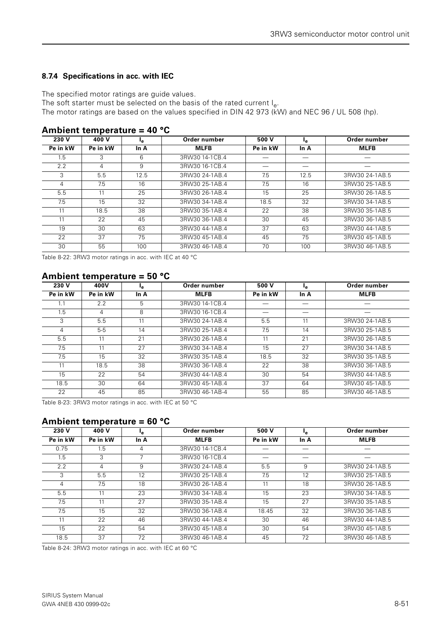### <span id="page-50-0"></span>**8.7.4 Specifications in acc. with IEC**

The specified motor ratings are guide values.

The soft starter must be selected on the basis of the rated current  $I_{\alpha}$ .

The motor ratings are based on the values specified in DIN 42 973 ( $\overline{k}W$ ) and NEC 96 / UL 508 (hp).

| 230 V    | 400 V    | Ŀе   | Order number    | 500 V    | ۱e.  | Order number   |
|----------|----------|------|-----------------|----------|------|----------------|
| Pe in kW | Pe in kW | In A | <b>MLFB</b>     | Pe in kW | In A | <b>MLFB</b>    |
| 1.5      | 3        | 6    | 3RW30 14-1 CB.4 |          |      |                |
| 2.2      | 4        | 9    | 3RW30 16-1CB.4  |          |      |                |
| 3        | 5.5      | 12.5 | 3RW30 24-1AB.4  | 7.5      | 12.5 | 3RW30 24-1AB.5 |
| 4        | 7.5      | 16   | 3RW30 25-1AB.4  | 7.5      | 16   | 3RW30 25-1AB.5 |
| 5.5      | 11       | 25   | 3RW30 26-1AB.4  | 15       | 25   | 3RW30 26-1AB.5 |
| 7.5      | 15       | 32   | 3RW30 34-1AB.4  | 18.5     | 32   | 3RW30 34-1AB.5 |
| 11       | 18.5     | 38   | 3RW30 35-1AB.4  | 22       | 38   | 3RW30 35-1AB.5 |
| 11       | 22       | 45   | 3RW30 36-1AB.4  | 30       | 45   | 3RW30 36-1AB.5 |
| 19       | 30       | 63   | 3RW30 44-1AB.4  | 37       | 63   | 3RW30 44-1AB.5 |
| 22       | 37       | 75   | 3RW30 45-1AB.4  | 45       | 75   | 3RW30 45-1AB.5 |
| 30       | 55       | 100  | 3RW30 46-1AB.4  | 70       | 100  | 3RW30 46-1AB.5 |

#### **Ambient temperature = 40 °C**

Table 8-22: 3RW3 motor ratings in acc. with IEC at 40 °C

### **Ambient temperature = 50 °C**

| 230 V    | 400V          | ۱e.  | Order number   | 500 V    | łе.  | Order number   |
|----------|---------------|------|----------------|----------|------|----------------|
| Pe in kW | Pe in kW      | In A | <b>MLFB</b>    | Pe in kW | In A | <b>MLFB</b>    |
|          | $2.2^{\circ}$ | 5    | 3RW30 14-1CB.4 |          |      |                |
| 1.5      | 4             | 8    | 3RW30 16-1CB.4 |          |      |                |
| 3        | 5.5           | 11   | 3RW30 24-1AB.4 | 5.5      | 11   | 3RW30 24-1AB.5 |
| 4        | $5-5$         | 14   | 3RW30 25-1AB.4 | 7.5      | 14   | 3RW30 25-1AB.5 |
| 5.5      | 11            | 21   | 3RW30 26-1AB.4 | 11       | 21   | 3RW30 26-1AB.5 |
| 7.5      | 11            | 27   | 3RW30 34-1AB.4 | 15       | 27   | 3RW30 34-1AB.5 |
| 7.5      | 15            | 32   | 3RW30 35-1AB.4 | 18.5     | 32   | 3RW30 35-1AB.5 |
| 11       | 18.5          | 38   | 3RW30 36-1AB.4 | 22       | 38   | 3RW30 36-1AB.5 |
| 15       | 22            | 54   | 3RW30 44-1AB.4 | 30       | 54   | 3RW30 44-1AB.5 |
| 18.5     | 30            | 64   | 3RW30 45-1AB.4 | 37       | 64   | 3RW30 45-1AB.5 |
| 22       | 45            | 85   | 3RW3046-1AB-4  | 55       | 85   | 3RW30 46-1AB.5 |

Table 8-23: 3RW3 motor ratings in acc. with IEC at 50 °C

## **Ambient temperature = 60 °C**

| 230 V          | 400 V    | l <sub>e</sub> | Order number   | 500 V    | ۱e.  | Order number   |
|----------------|----------|----------------|----------------|----------|------|----------------|
| Pe in kW       | Pe in kW | In $A$         | <b>MLFB</b>    | Pe in kW | In A | <b>MLFB</b>    |
| 0.75           | 1.5      | 4              | 3RW30 14-1CB.4 |          |      |                |
| 1.5            | 3        |                | 3RW30 16-1CB.4 |          |      |                |
| $2.2^{\circ}$  | 4        | 9              | 3RW30 24-1AB.4 | 5.5      | 9    | 3RW30 24-1AB.5 |
| 3              | 5.5      | 12             | 3RW30 25-1AB.4 | 7.5      | 12   | 3RW30 25-1AB.5 |
| $\overline{4}$ | 7.5      | 18             | 3RW30 26-1AB.4 | 11       | 18   | 3RW30 26-1AB.5 |
| 5.5            | 11       | 23             | 3RW30 34-1AB.4 | 15       | 23   | 3RW30 34-1AB.5 |
| 7.5            | 11       | 27             | 3RW30 35-1AB.4 | 15       | 27   | 3RW30 35-1AB.5 |
| 7.5            | 15       | 32             | 3RW30 36-1AB.4 | 18.45    | 32   | 3RW30 36-1AB.5 |
| 11             | 22       | 46             | 3RW30 44-1AB.4 | 30       | 46   | 3RW30 44-1AB.5 |
| 15             | 22       | 54             | 3RW30 45-1AB.4 | 30       | 54   | 3RW30 45-1AB.5 |
| 18.5           | 37       | 72             | 3RW30 46-1AB.4 | 45       | 72   | 3RW30 46-1AB.5 |

Table 8-24: 3RW3 motor ratings in acc. with IEC at 60 °C